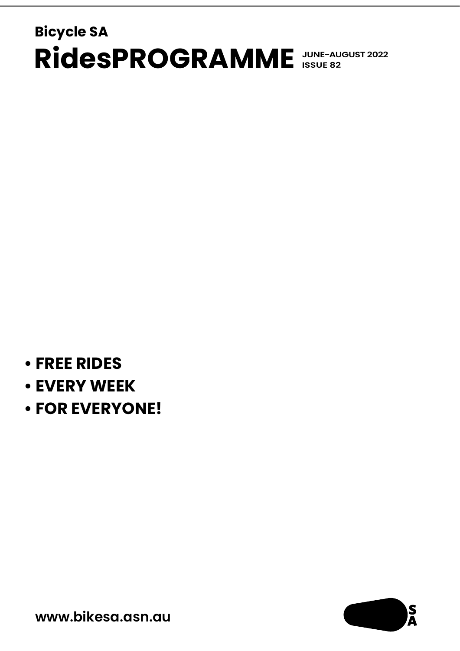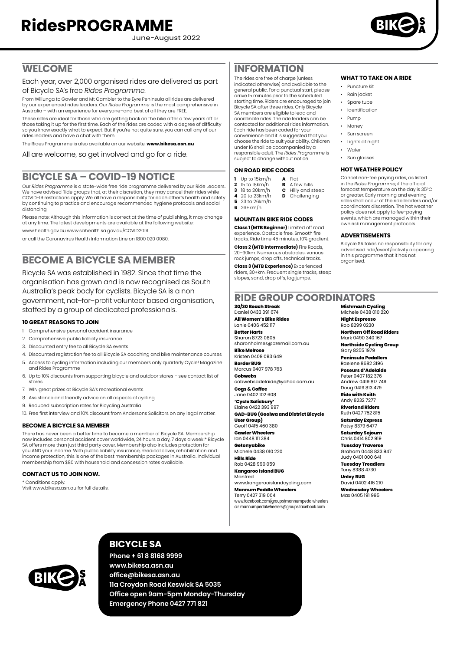June-August 2022



**WHAT TO TAKE ON A RIDE**

**HOT WEATHER POLICY** Cancel non-fee paying rides, as listed in the *Rides Programme*, if the official forecast temperature on the day is 35°C or greater. Early morning and evening rides shall occur at the ride leaders and/or coordinators discretion. The hot weather policy does not apply to fee-paying events, which are managed within their own risk management protocols.

**ADVERTISEMENTS**

• Puncture kit • Rain jacket • Spare tube • Identification • Pump • Money • Sun screen • Lights at night • Water • Sun glasses

### **WELCOME**

Each year, over 2,000 organised rides are delivered as part of Bicycle SA's free *Rides Programme*.

From Willunga to Gawler and Mt Gambier to the Eyre Peninsula all rides are delivered by our experienced rides leaders. Our *Rides Programme* is the most comprehensive in Australia – with an experience for everyone–and best of all they are FREE.

These rides are ideal for those who are getting back on the bike after a few years off or those taking it up for the first time. Each of the rides are coded with a degree of difficulty so you know exactly what to expect. But if you're not quite sure, you can call any of our rides leaders and have a chat with them.

The Rides Programme is also available on our website, **[www.bikesa.asn.au](http://www.bikesa.asn.au)**

All are welcome, so get involved and go for a ride.

### **BICYCLE SA – COVID-19 NOTICE**

Our *Rides Programme* is a state-wide free ride programme delivered by our Ride Leaders. We have advised Ride groups that, at their discretion, they may cancel their rides while COVID-19 restrictions apply. We all have a responsibility for each other's health and safety by continuing to practice and encourage recommended hygiene protocols and social distancing.

Please note: Although this information is correct at the time of publishing, it may change at any time. The latest developments are available at the following website:

www.health.gov.au www.sahealth.sa.gov.au/COVID2019

or call the Coronavirus Health Information Line on 1800 020 0080.

### **BECOME A BICYCLE SA MEMBER**

Bicycle SA was established in 1982. Since that time the organisation has grown and is now recognised as South Australia's peak body for cyclists. Bicycle SA is a non government, not–for–profit volunteer based organisation, staffed by a group of dedicated professionals.

#### **10 GREAT REASONS TO JOIN**

- 1. Comprehensive personal accident insurance
- 2. Comprehensive public liability insurance
- 3. Discounted entry fee to all Bicycle SA events
- 4. Discounted registration fee to all Bicycle SA coaching and bike maintenance courses
- 5. Access to cycling information including our members only quarterly Cycle! Magazine and Rides Programme
- 6. Up to 10% discounts from supporting bicycle and outdoor stores see contact list of stores
- 7. WIN great prizes at Bicycle SA's recreational events
- 8. Assistance and friendly advice on all aspects of cycling
- 9. Reduced subscription rates for Bicycling Australia
- 10. Free first interview and 10% discount from Andersons Solicitors on any legal matter.

#### **BECOME A BICYCLE SA MEMBER**

There has never been a better time to become a member of Bicycle SA. Membership now includes personal accident cover worldwide, 24 hours a day, 7 days a week!\* Bicycle SA offers more than just third party cover. Membership also includes protection for you AND your income. With public liability insurance, medical cover, rehabilitation and income protection, this is one of the best membership packages in Australia. Individual membership from \$80 with household and concession rates available.

#### **CONTACT US TO JOIN NOW.**

\* Conditions apply.

Visit [www.bikesa.asn.au](http://www.bikesa.asn.au) for full details.

### **INFORMATION**

The rides are free of charge (unless indicated otherwise) and available to the general public. For a punctual start, please arrive 15 minutes prior to the scheduled starting time. Riders are encouraged to join Bicycle SA after three rides. Only Bicycle SA members are eligible to lead and coordinate rides. The ride leaders can be contacted for additional rides information. Each ride has been coded for your convenience and it is suggested that you choose the ride to suit your ability. Children under 16 shall be accompanied by a responsible adult. The *Rides Programme* is subject to change without notice.

#### **ON ROAD RIDE CODES**

- **1** Up to 15km/h **A** Flat
	- **5** 23 to 26km/h
- **6** 26+km/h

experience. Obstacle free. Smooth fire

20–30km. Numerous obstacles, various rock jumps, drop offs, technical tracks.

organised. **Mishmash Cycling** Michele 0438 010 220

Bicycle SA takes no responsibility for any advertised ride/event/activity appearing in this programme that it has not

Daniel 0433 391 674 **All Women's Bike Rides** Lanie 0406 452 117 **Better Harts**

Sharon 8723 0805 [sharonholmes@ozemail.com.au](mailto:sharonholmes@ozemail.com.au) **Bike Melrose**

Kristen 0409 093 649 **Border BUG**

**30/30 Beach Streak**

Marcus 0407 978 763 **Cobwebs**

[cobwebsadelaide@yahoo.com.au](mailto:cobwebsadelaide@yahoo.com.au)

**GAD-BUG (Goolwa and District Bicycle** 

Geoff 0415 460 380 **Gawler Wheelers**

**Getonyabike**

**Hills Ride**

**Kangaroo Island BUG** Manfred

[www.facebook.com/groups/mannumpedalwheelers](http://www.facebook.com/groups/mannumpedalwheelers)

**Night Espresso** Rob 8299 0230 **Northern Off Road Riders** Mark 0490 340 167 **Northside Cycling Group** Gary 8255 1979

**Peninsula Pedallers** Raelene 8682 3196

**Poseurs d'Adelaide** Peter 0407 182 376 Andrew 0419 817 749 Doug 0419 813 479

**Ride with Keith** Andy 8232 7277

**Riverland Riders** Ruth 0427 752 815 **Saturday Express**

Patsy 8379 6477 **Saturday Sojourn**

Chris 0414 802 919 **Tuesday Traverse**

Graham 0448 833 947 Judy 0401 000 641

**Tuesday Treadlers** Tony 8388 4730 **Unley BUG**

David 0402 416 210 **Wednesday Wheelers** Max 0405 191 995



### **BICYCLE SA**

**Phone + 61 8 8168 9999 [www.bikesa.asn.au](http://www.bikesa.asn.au) [office@bikesa.asn.au](mailto:office@bikesa.asn.au) 11a Croydon Road Keswick SA 5035 Office open 9am-5pm Monday-Thursday Emergency Phone 0427 771 821**

**2** 15 to 18km/h **B** A few hills<br>**3** 18 to 20km/h **C** Hilly and s **3** 18 to 20km/h **C** Hilly and steep<br>**4** 20 to 23km/h **D** Challenaina  $\overline{p}$  Challenging

**Class 1 (MTB Beginner)** Limited off road

**Class 2 (MTB Intermediate)** Fire Roads,

**Class 3 (MTB Experience)** Experienced

#### **MOUNTAIN BIKE RIDE CODES**

tracks. Ride time 45 minutes. 10% gradient.

riders, 30+km. Frequent single tracks, steep slopes, sand, drop offs, log jumps.

**RIDE GROUP COORDINATORS**

**Cogs & Coffee**

Jane 0402 102 608 **'Cycle Salisbury'**

Elaine 0422 393 997

**User Group)**

Ian 0448 111 384

Michele 0438 010 220

Rob 0428 990 059

www.kangerooislandcycling.com **Mannum Peddle Wheelers**

Terry 0427 319 004 or [mannumpedalwheelers@groups.facebook.com](mailto:mannumpedalwheelers@groups.facebook.com)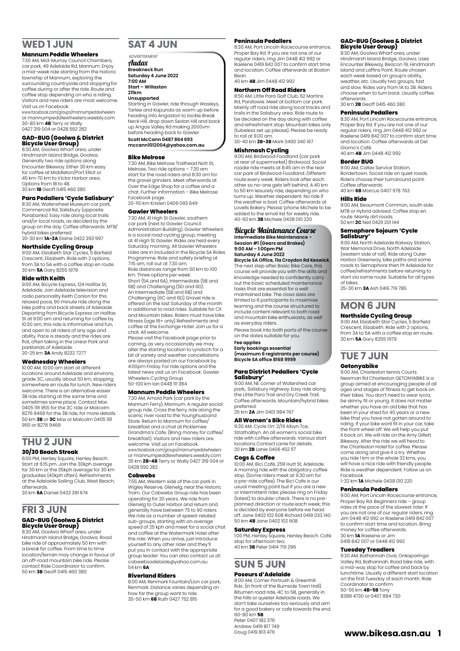### **WED 1 JUN**

#### **Mannum Peddle Wheelers**

7:30 AM, Mid-Murray Council Chambers, car park, 49 Adelaide Rd, Mannum. Enjoy a mid-week ride starting from the historic township of Mannum, exploring the surrounding countryside and stopping for coffee during or after the ride. Route and coffee stop depending on who is riding. Visitors and new riders are most welcome. Visit us on Facebook.

www.facebook.com/groups/mannumpedalwheelers or mannumpeddlewheelers.weebly.com 30-80 km **4B** Terry or Wally 0427 319 004 or 0428 592 282

## **GAD-BUG (Goolwa & District Bicycle User Group)**

8:30 AM, Goolwa Wharf area, under Hindmarsh Island Bridge, Goolwa. Generally two ride options along Encounter Bikeway. Either 30 km easy for coffee at Middleton/Port Elliot or 45 km-70 km to Victor Harbor area. Options from 1B to 4B. 30 km **1B** Geoff 0415 460 380

#### **Para Pedallers 'Cycle Salisbury'**

8:30 AM, Waterwheel Museum car park, Commercial Rd, Salisbury (opposite Parabanks). Easy ride along local trails and/or local roads, as decided by the group on the day. Coffee afterwards. MTB/ hybrid bikes preferred.

20-30 km **1A-2A** Elaine 0422 393 997

**Northside Cycling Group**<br>9:00 AM, Elizabeth Star Cycles, 5 Barfield<br>Crescent, Elizabeth. Ride with 2 options, from 3A to 5A with a coffee stop en route. 30 km **5A** Gary 8255 1979

#### **Ride with Keith**

9:00 AM, Bicycle Express, 124 Halifax St, Adelaide. Join Adelaide television and radio personality Keith Conlon for this relaxed pace, 90 minute ride along the bike paths and back streets of Adelaide. Departing from Bicycle Express on Halifax St at 9:00 am and returning for coffee by 10:30 am, this ride is informative and fun. and open to all riders of any age and ability. Pace is steady and the rides are flat, often taking in the Linear Park and parklands of Adelaide. 20-25 km **3A** Andy 8232 7277

#### **Wednesday Wheelers**

10:00 AM, 10:00 am start at different locations around Adelaide and environs, grade 3C, usually about 50 km, stopping somewhere en route for lunch. New riders welcome. There is an alternative easier 3B ride starting at the same time and sometimes same place. Contact Max 0405 191 955 for the 3C ride or Malcolm<br>8276 9469 for the 3B ride for more details 8276 9469 for the 3B ride, for more details. 50 km **3B** or **3C** Max or Malcolm 0405 191 955 or 8276 9469

### **THU 2 JUN**

#### **30/30 Beach Streak**

6:00 PM, Henley Square, Henley Beach. Start at 6:15 pm. Join the 30kph average for 30 km or the 35kph average for 30 km graduates (40kph often). Refreshments at the Adelaide Sailing Club, West Beach, afterwards.

30 km **6A** Daniel 0433 391 674

### **FRI 3 JUN**

### **GAD-BUG (Goolwa & District Bicycle User Group)** 8:30 AM, Goolwa Wharf area, under

Hindmarsh Island Bridge, Goolwa. Road bike ride of approximately 50 km with a break for coffee. From time to time location/terrain may change in favour of an off-road mountain bike ride. Please contact Ride Coordinator to confirm. 50 km **3B** Geoff 0415 460 380

#### **SAT 4 JUN**

### **ADVERTISEMENT**

Audax **Breakneck Run Saturday 4 June 2022**

**7:00 AM Start – Willaston**

#### **211km Unsupported**

Starting in Gawler, ride through Wasleys, Tarlee and Kapunda as warm up before heading into Angaston to tackle Break Neck Hill, drop down Sedan Hill and back up Angas Valley Rd making 2000vm before heading back to Gawler. **Scott McCann 0487 864 693 mccann1012004@yahoo.com.au**

#### **Bike Melrose**

7:30 AM, Bike Melrose Trailhead Nott St, Melrose. Two ride options – 7:30 am start for the road riders and 8:30 am for the gravel grinders. Meet afterwards at Over the Edge Shop for a coffee and a chat. Further information – Bike Melrose Facebook page. 20-110 km Kristen 0409 093 649

### **Gawler Wheelers**

7:30 AM, 41 High St Gawler, southern car park (next to Gawler Council Administration Building). Gawler Wheelers<br>is a social road cycling group, meeting<br>at 41 High St Gawler. Rides are held every Saturday morning. All Gawler Wheelers rides are in included in the Bicycle SA Rides Programme. Ride and safety briefing at 7:15 am, roll out at 7.30 am. Ride distances range from 50 km to 100

km. Three options per week: Short (5A and 6A), Intermediate (5B and 6B) and Challenging (5D and 6D) An Intermediate (5B and 6B) and Challenging (6C and 6D) Gravel ride is offered on the last Saturday of the month in additional to road rides. Suitable for CX and Mountain bikes. Riders must have bike fitness (age 16+ only) Refreshments and coffee at the Exchange Hotel. Join us for a chat. All welcome.

Please visit the Facebook page prior to coming, as very occasionally we may alter the starting location to Lyndoch for a bit of variety and weather cancellations are always posted on our Facebook by 4:00pm Friday. For ride options and the latest news visit us on Facebook: Gawler Wheelers Cycling Group 50-100 km Ian 0448 111 384

#### **Mannum Peddle Wheelers**

7:30 AM, Arnold Park (car park by the Mannum Ferry), Mannum. A regular social group ride. Cross the ferry, ride along the scenic river road to the Younghusband Store. Return to Mannum for coffee/ breakfast and a chat at Picklemee Grandma's Cafe. (Bring money for coffee/ breakfast). Visitors and new riders are welcome. Visit us on Facebook. www.facebook.com/groups/mannumpedalwheelers or mannumpeddlewheelers.weebly.com 35 km **2B-4B** Terry or Wally 0427 319 004 or 0428 592 282

#### **Cobwebs**

7:55 AM, Western side of the car park in Wigley Reserve, Glenelg, near the Historic Tram. Our Cobwebs Group ride has been operating for 20 years. We ride from Glenelg to Outer Harbor and return and generally have between 75 to 90 riders. We ride as a number of speed-related sub-groups, starting with an average speed of 25 kph and meet for a social chat and coffee at the Watermark Hotel after the ride. When you arrive, just introduce yourself to any other rider and they'll put you in contact with the appropriate group leader. You can also contact us at: cobwebsadelaide@yahoo.com.au 54 km **6A**

#### **Riverland Riders**

8:00 AM, Renmark Fountain/Lion car park, Renmark. Distance varies depending on how far the group want to ride. 35-50 km **6B** Ruth 0427 752 815

#### **Peninsula Pedallers**

8:30 AM, Port Lincoln Racecourse entrance, Proper Bay Rd. If you are not one of our regular riders, ring Jim 0448 412 992 or Raelene 0419 842 007 to confirm start time and location. Coffee afterwards at Boston Bean.

#### 40 km **4B** Jim 0448 412 992 **Northern Off Road Riders**

8:50 AM, Little Para Golf Club, 62 Martins Rd, Paralowie. Meet at bottom car park. Mainly off road ride along local tracks and trails in the Salisbury area. Ride route to be decided on the day along with coffee and refreshment stop. Mountain bikes only (tubeless set up please). Please be ready to roll at 9.00 am. 30-40 km **2B-3B** Mark 0490 340 167

#### **Mishmash Cycling**

9:00 AM, Birdwood Foodland (car park at rear of supermarket) Birdwood. Social roadie ride meets at 8:45 am in the rear car park of Birdwood Foodland. Different route every week. Riders look after each other so no-one gets left behind. A 40 km to 50 km leisurely ride, depending on who turns up. Weather dependent. No ride if the weather is bad. Coffee afterwards at Lovells Bakery. Please 'phone Michele to be added to the email list for weekly ride. 40-60 km **3B** Michele 0438 010 220

### Bicycle Maintenance Course **Intermediate Bike Maintenance – Session #1 (Gears and Brakes)**

**9:00 AM – 1:00pm PM Saturday 4 June 2022 Bicycle SA Office, 11a Croydon Rd Keswick**

The next step after Basic Bike Care, this course will provide you with the skills and knowledge needed to confidently carry out the basic scheduled maintenance tasks that are essential for a well maintained bike. The class sizes are limited to 6 participants to maximise learning and the course structured to include content relevant to both road and mountain bike enthusiasts, as well as everyday riders.

Please book into both parts of the course on the dates suitable for you.

### **Fee applies**

**Early bookings essential (maximum 6 registrants per course) Bicycle SA office 8168 9999**

## **Para District Pedallers 'Cycle**

**Salisbury'**<br>9:00 AM, NE corner of Watershed car<br>park,. Salisbury Highway. Easy ride along the Little Para Trail and Dry Creek Trail. Coffee afterwards. Mountain/hybrid bikes preferred. 25 km **2A** Jim 0401 984 767

**All Women's Bike Rides**

9:30 AM, Cycle On' 2/19 Albyn Tce, Strathalbyn. An all women's social bike ride with coffee afterwards. Various start locations Contact Lanie for details. 20 km **2B** Lanie 0406 452 117

#### **Cogs & Coffee**

10:00 AM, Bici Café, 259 Hutt St, Adelaide. A morning ride with the obligatory coffee stop. (Some riders meet at 9.30 am for a pre-ride coffee). The Bici Cafe is our usual meeting point but if you are a new or intermittent rider, please ring on Friday (latest) to double-check. There is no pre-planned direction or route each week; this is decided by everyone before we head off. Jane 0402 102 608 Richard 0419 033 140 50 km **4B** Jane 0402 102 608

#### **Saturday Express**

1:00 PM, Henley Square, Henley Beach. Café stop for afternoon tea. 40 km **3B** Peter 0414 719 296

## **SUN 5 JUN**

#### **Poseurs d'Adelaide**

8:00 AM, Corner Portrush & Greenhill Rds. (in front of the Burnside Town Hall). Bitumen road ride, 4C to 5B, generally in the hills or quieter Adelaide roads. We don't take ourselves too seriously and aim for a good bakery or cafe towards the end. 60-80 km **5B** Peter 0407 182 376 Andrew 0419 817 749 Doug 0419 813 479

#### **GAD-BUG (Goolwa & District Bicycle User Group)**

8:30 AM, Goolwa Wharf area, under Hindmarsh Island Bridge, Goolwa. Uses Encounter Bikeway, Beacon 19, Hindmarsh Island and Laffins Point. Route chosen each week based on group's ability, weather, etc. Usually two groups, fast and slow. Rides vary from 1A to 3B. Riders choose when to turn back. Usually coffee afterwards.

30 km **2B** Geoff 0415 460 380

#### **Peninsula Pedallers**

8:30 AM, Port Lincoln Racecourse entrance, Proper Bay Rd. If you are not one of our regular riders, ring Jim 0448 412 992 or Raelene 0419 842 007 to confirm start time and location. Coffee afterwards at Del Giorno's Café. 40 km **4B** Jim 0448 412 992

### **Border BUG**

9:00 AM, Caltex Service Station Bordertown. Social ride on quiet roads. Riders choose their turnaround point. Coffee afterwards. 40 km **6B** Marcus 0407 978 763

**Hills Ride**

#### 9:00 AM, Beaumont Common, south side. MTB or Hybrid advised. Coffee stop en route. Mainly dirt roads. 50 km **2C** Neil 0429 201 144

## **Semaphore Sojourn 'Cycle Salisbury'**

9:00 AM, North Adelaide Railway Station, War Memorial Drive, North Adelaide (western side of rail). Ride along Outer Harbor Greenway, bike paths and some roads to Semaphore then Pt Adelaide for coffee/refreshments before returning to start via same route. Suitable for all types of bikes.

25-30 km **3A** Ash 0416 719 785

# **MON 6 JUN**

**Northside Cycling Group** 9:00 AM, Elizabeth Star Cycles, 5 Barfield Crescent, Elizabeth. Ride with 2 options, from 3A to 5A with a coffee stop en route. 30 km **5A** Gary 8255 1979

# **TUE 7 JUN**

### **Getonyabike**<br>9:00 AM Charleston tennis Courts

9:00 AM, Charleston tennis Courts. Newman Rd Charleston GETONYABIKE is a group aimed at encouraging people of all ages and stages of fitness to get back on their bikes. You don't need to wear lycra, be skinny, fit or young. It does not matter whether you have an old bike that has been in your shed for 40 years or a new bike that you have not gotten around to riding. If your bike wont fit in your car, take the front wheel off. We will help you put it back on. We will ride on the Amy Gillett Bikeway. After the ride we will head to the Charleston Hotel for coffee. Please come along and give it a try. Whether you ride 1 km or the whole 32 kms, you will have a nice ride with friendly people Ride is weather dependent. Follow us on Facebook.

1-32 km **1A** Michele 0438 010 220

#### **Peninsula Pedallers**

9:00 AM, Port Lincoln Racecourse entrance, Proper Bay Rd. Beginners ride – group rides at the pace of the slowest rider. If you are not one of our regular riders, ring Jim 0448 412 992 or Raelene 0419 842 007 to confirm start time and location. Bring money for coffee afterwards. 30 km **1A** Raelene or Jim 0419 842 007 or 0448 412 992

#### **Tuesday Treadlers**

9:30 AM, Balhannah Oval, Onkaparinga Valley Rd, Balhannah. Road bike ride, with a mid-way stop for coffee and back by lunchtime. Usually a different start location on the first Tuesday of each month. Ride Coordinator to confirm. 50-55 km **4B-5B** Tony 8388 4730 or 0407 884 730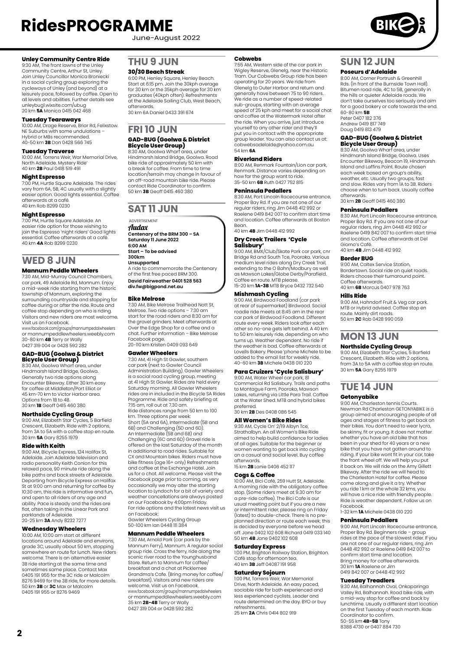June-August 2022

#### **Unley Community Centre Ride**

9:30 AM, The front lawns of the Unley Community Centre, Arthur St, Unley. Join Unley Councillor Monica Broniecki in a social cycling group exploring the cycleways of Unley (and beyond) at a leisurely pace, followed by coffee. Open to all levels and abilities. Further details see unleybug1.wixsite.com/ubug 20 km **5A** Monica 0415 042 468

#### **Tuesday Tearaways**

10:00 AM, Drage Reserve, Briar Rd, Felixstow. NE Suburbs with some undulations – Hybrid or MBs recommended. 40-50 km **3B** Don 0428 566 745

#### **Tuesday Traverse**

10:00 AM, Torrens Weir, War Memorial Drive, North Adelaide. Mystery Ride' 40 km **2B** Paul 0418 519 491

#### **Night Espresso**

7:00 PM, Hurtle Square Adelaide. The rides vary from 6A, 5B, 4C usually with a slightly easier option. Good lights essential. Coffee afterwards at a café. 40 km Rob 8299 0230

#### **Night Espresso**

7:00 PM, Hurtle Square Adelaide. An easier ride option for those wishing to join the Espresso 'night riders' Good lights essential. Coffee afterwards at a café. 40 km **4A** Rob 8299 0230

### **WED 8 JUN**

#### **Mannum Peddle Wheelers**

7:30 AM, Mid-Murray Council Chambers, car park, 49 Adelaide Rd, Mannum. Enjoy a mid-week ride starting from the historic township of Mannum, exploring the surrounding countryside and stopping for coffee during or after the ride. Route and coffee stop depending on who is riding. Visitors and new riders are most welcome.

Visit us on Facebook. www.facebook.com/groups/mannumpedalwheelers or mannumpeddlewheelers.weebly.com 30-80 km **4B** Terry or Wally 0427 319 004 or 0428 592 282

## **GAD-BUG (Goolwa & District Bicycle User Group)**

8:30 AM, Goolwa Wharf area, under Hindmarsh Island Bridge, Goolwa. Generally two ride options along Encounter Bikeway. Either 30 km easy for coffee at Middleton/Port Elliot or 45 km-70 km to Victor Harbor area. Options from 1B to 4B. 30 km **1B** Geoff 0415 460 380

#### **Northside Cycling Group**

9:00 AM, Elizabeth Star Cycles, 5 Barfield Crescent, Elizabeth. Ride with 2 options, from 3A to 5A with a coffee stop en route. 30 km **5A** Gary 8255 1979

#### **Ride with Keith**

9:00 AM, Bicycle Express, 124 Halifax St, Adelaide. Join Adelaide television and radio personality Keith Conlon for this relaxed pace, 90 minute ride along the bike paths and back streets of Adelaide. Departing from Bicycle Express on Halifax St at 9:00 am and returning for coffee by 10:30 am, this ride is informative and fun, and open to all riders of any age and ability. Pace is steady and the rides are flat, often taking in the Linear Park and parklands of Adelaide. 20-25 km **3A** Andy 8232 7277

### **Wednesday Wheelers**

10:00 AM, 10:00 am start at different<br>locations around Adelaide and environs, grade 3C, usually about 50 km, stopping somewhere en route for lunch. New riders welcome. There is an alternative easier 3B ride starting at the same time and sometimes same place. Contact Max 0405 191 955 for the 3C ride or Malcolm 8276 9469 for the 3B ride, for more details. 50 km **3B** or **3C** Max or Malcolm 0405 191 955 or 8276 9469

#### **THU 9 JUN**

#### **30/30 Beach Streak**

6:00 PM, Henley Square, Henley Beach. Start at 6:15 pm. Join the 30kph average for 30 km or the 35kph average for 30 km graduates (40kph often). Refreshments at the Adelaide Sailing Club, West Beach, afterwards.

30 km 6A Daniel 0433 391 674

# **FRI 10 JUN GAD-BUG (Goolwa & District<br><b>Bicycle User Group)**<br>8:30 AM, Goolwa Wharf area, under<br>Hindmarsh Island Bridge, Goolwa. Road

bike ride of approximately 50 km with a break for coffee. From time to time location/terrain may change in favour of an off-road mountain bike ride. Please contact Ride Coordinator to confirm. 50 km **3B** Geoff 0415 460 380

### **SAT 11 JUN**

ADVERTISEMENT

Audax **Centenary of the BRM 300 – SA Saturday 11 June 2022 6:00 AM**

**Start – To be advised 300km**

**Unsupported** A ride to commemorate the Centenary of the first free paced BRM 300. **David Fairweather 0401 528 563**

**div.fw@bigpond.net.au**

#### **Bike Melrose**

7:30 AM, Bike Melrose Trailhead Nott St, Melrose. Two ride options – 7:30 am start for the road riders and 8:30 am for the gravel grinders. Meet afterwards at Over the Edge Shop for a coffee and a chat. Further information – Bike Melrose Facebook page.

20-110 km Kristen 0409 093 649

#### **Gawler Wheelers**

7:30 AM, 41 High St Gawler, southern car park (next to Gawler Council Administration Building). Gawler Wheelers is a social road cycling group, meeting at 41 High St Gawler. Rides are held every Saturday morning. All Gawler Wheelers rides are in included in the Bicycle SA Rides Programme. Ride and safety briefing at 7:15 am, roll out at 7.30 am.

Ride distances range from 50 km to 100 km. Three options per week:

Short (5A and 6A), Intermediate (5B and 6B) and Challenging (5D and 6D). An Intermediate (5B and 6B) and Challenging (6C and 6D) Gravel ride is offered on the last Saturday of the month in additional to road rides. Suitable for CX and Mountain bikes. Riders must have bike fitness (age 16+ only) Refreshments and coffee at the Exchange Hotel. Join us for a chat. All welcome. Please visit the Facebook page prior to coming, as very occasionally we may alter the starting location to Lyndoch for a bit of variety and weather cancellations are always posted on our Facebook by 4:00pm Friday. For ride options and the latest news visit us<br>on Eacebook: on Facebook: Gawler Wheelers Cycling Group 50-100 km Ian 0448 111 384

#### **Mannum Peddle Wheelers**

7:30 AM, Arnold Park (car park by the Mannum Ferry), Mannum. A regular social group ride. Cross the ferry, ride along the scenic river road to the Younghusband Store. Return to Mannum for coffee/ breakfast and a chat at Picklemee Grandma's Cafe. (Bring money for coffee/ breakfast). Visitors and new riders are welcome. Visit us on Facebook. www.facebook.com/groups/mannumpedalwheelers or mannumpeddlewheelers.weebly.com 35 km **2B-4B** Terry or Wally 0427 319 004 or 0428 592 282

#### **Cobwebs**

7:55 AM, Western side of the car park in Wigley Reserve, Glenelg, near the Historic Tram. Our Cobwebs Group ride has been operating for 20 years. We ride from Glenelg to Outer Harbor and return and generally have between 75 to 90 riders We ride as a number of speed-related sub-groups, starting with an average speed of 25 kph and meet for a social chat and coffee at the Watermark Hotel after the ride. When you arrive, just introduce yourself to any other rider and they'll put you in contact with the appropriate group leader. You can also contact us at: cobwebsadelaide@yahoo.com.au 54 km **6A**

#### **Riverland Riders**

8:00 AM, Renmark Fountain/Lion car park, Renmark. Distance varies depending on how far the group want to ride. 35-50 km **6B** Ruth 0427 752 815

#### **Peninsula Pedallers**

8:30 AM, Port Lincoln Racecourse entrance, Proper Bay Rd. If you are not one of our regular riders, ring Jim 0448 412 992 or Raelene 0419 842 007 to confirm start time and location. Coffee afterwards at Boston **Bean** 

40 km **4B** Jim 0448 412 992

### **Dry Creek Trailers 'Cycle Salisbury'**

9:00 AM, BMX/Club/Skate Park car park, cnr Bridge Rd and South Tce, Pooraka. Various medium level rides along Dry Creek Trail, extending to the O Bahn/Modbury as well as Mawson Lakes/Globe Derby/Parafield. Coffee en route. MTB please. 15-20 km **1A-3B** MTB Bryce 0432 732 540

#### **Mishmash Cycling**

9:00 AM, Birdwood Foodland (car park at rear of supermarket) Birdwood. Social roadie ride meets at 8:45 am in the rear car park of Birdwood Foodland. Different route every week. Riders look after each other so no-one gets left behind. A 40 km to 50 km leisurely ride, depending on who turns up. Weather dependent. No ride if the weather is bad. Coffee afterwards at Lovells Bakery. Please 'phone Michele to be added to the email list for weekly ride. 40-60 km **3B** Michele 0438 010 220

#### **Para Cruizers 'Cycle Salisbury'**

9:00 AM, Water Wheel car park, 81 Commercial Rd Salisbury. Trails and paths to Montague Farm, Pooraka, Mawson Lakes, returning via Little Para Trail. Coffee at the Water Shed. MTB and hybrid bikes preferred. 30 km **2B** Des 0408 086 545

### **All Women's Bike Rides** 9:30 AM, Cycle On' 2/19 Albyn Tce, Strathalbyn. An all Women's Bike Ride

aimed to help build confidence for ladies of all ages. Suitable for the beginner or women wanting to get back into cycling on a casual and social level. Buy coffee afterwards. 15 km **2B** Lanie 0406 452 117

#### **Cogs & Coffee**

10:00 AM, Bici Café, 259 Hutt St, Adelaide. A morning ride with the obligatory coffee stop. (Some riders meet at 9.30 am for a pre-ride coffee). The Bici Cafe is our usual meeting point but if you are a new or intermittent rider, please ring on Friday (latest) to double-check. There is no preplanned direction or route each week; this is decided by everyone before we head off. Jane 0402 102 608 Richard 0419 033 140 50 km **4B** Jane 0402 102 608

#### **Saturday Express**

1:00 PM, Brighton Railway Station, Brighton. Café stop for afternoon tea. 40 km **3B** Jeff 04087 191 958

#### **Saturday Sojourn**

1:00 PM, Torrens Weir, War Memorial Drive, North Adelaide. An easy paced, sociable ride for both experienced and less experienced cyclists. Leader and route determined on the day. BYO or buy refreshments. 25 km **2A** Chris 0414 802 919

### **SUN 12 JUN Poseurs d'Adelaide**

8:00 AM, Corner Portrush & Greenhill Rds. (in front of the Burnside Town Hall). Bitumen road ride, 4C to 5B, generally in the hills or quieter Adelaide roads. We<br>don't take ourselves too seriously and aim don't take ourselves too seriously and aim for a good bakery or cafe towards the end. 60-80 km **5B** Peter 0407 182 376

Andrew 0419 817 749 Doug 0419 813 479

### **GAD-BUG (Goolwa & District Bicycle User Group)**

8:30 AM, Goolwa Wharf area, under Hindmarsh Island Bridge, Goolwa. Uses Encounter Bikeway, Beacon 19, Hindmarsh Island and Laffins Point. Route chosen each week based on group's ability, weather, etc. Usually two groups, fast and slow. Rides vary from 1A to 3B. Riders choose when to turn back. Usually coffee afterwards. 30 km **2B** Geoff 0415 460 380

#### **Peninsula Pedallers**

8:30 AM, Port Lincoln Racecourse entrance, Proper Bay Rd. If you are not one of our regular riders, ring Jim 0448 412 992 or Raelene 0419 842 007 to confirm start time and location. Coffee afterwards at Del Giorno's Café. 40 km **4B** Jim 0448 412 992

**Border BUG** 9:00 AM, Caltex Service Station,

Bordertown. Social ride on quiet roads. Riders choose their turnaround point. Coffee afterwards. 40 km **6B** Marcus 0407 978 763

#### **Hills Ride**

9:00 AM, Hahndorf Fruit & Veg car park. MTB or Hybrid advised. Coffee stop en route. Mainly dirt roads. 50 km **2C** Rob 0428 990 059

### **MON 13 JUN**

**Northside Cycling Group** 9:00 AM, Elizabeth Star Cycles, 5 Barfield Crescent, Elizabeth. Ride with 2 options, from 3A to 5A with a coffee stop en route. 30 km **5A** Gary 8255 1979

### **TUE 14 JUN Getonyabike**

9:00 AM, Charleston tennis Courts. Newman Rd Charleston GETONYABIKE is a group aimed at encouraging people of all ages and stages of fitness to get back on their bikes. You don't need to wear lycra, be skinny, fit or young. It does not matter whether you have an old bike that has been in your shed for 40 years or a new bike that you have not gotten around to riding. If your bike wont fit in your car, take the front wheel off. We will help you put it back on. We will ride on the Amy Gillett Bikeway. After the ride we will head to the Charleston Hotel for coffee. Please come along and give it a try. Whether you ride 1 km or the whole 32 kms, you will have a nice ride with friendly people. Ride is weather dependent. Follow us on Facebook.

1-32 km **1A** Michele 0438 010 220

#### **Peninsula Pedallers**

9:00 AM, Port Lincoln Racecourse entrance, Proper Bay Rd. Beginners ride – group rides at the pace of the slowest rider. If you are not one of our regular riders, ring Jim 0448 412 992 or Raelene 0419 842 007 to confirm start time and location. Bring money for coffee afterwards. 30 km **1A** Raelene or Jim 0419 842 007 or 0448 412 992

#### **Tuesday Treadlers**

9:30 AM, Balhannah Oval, Onkaparinga Valley Rd, Balhannah. Road bike ride, with a mid-way stop for coffee and back by lunchtime. Usually a different start location on the first Tuesday of each month. Ride Coordinator to confirm. 50-55 km **4B-5B** Tony

8388 4730 or 0407 884 730

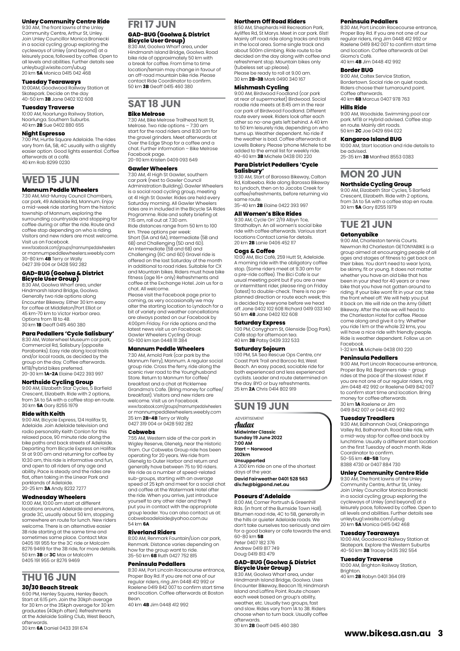#### **Unley Community Centre Ride**

9:30 AM, The front lawns of the Unley Community Centre, Arthur St, Unley. Join Unley Councillor Monica Broniecki in a social cycling group exploring the cycleways of Unley (and beyond) at a leisurely pace, followed by coffee. Open to all levels and abilities. Further details see unleybug1.wixsite.com/ubug 20 km **5A** Monica 0415 042 468

#### **Tuesday Tearaways**

10:00AM, Goodwood Railway Station at Skatepark. Decide on the day 40-50 km **3B** Jane 0402 102 608

#### **Tuesday Traverse**

10:00 AM, Noarlunga Railway Station, Noarlunga. Southern Suburbs. 40 km **2B** Sue 0402 880 655

#### **Night Espresso**

7:00 PM, Hurtle Square Adelaide. The rides vary from 6A, 5B, 4C usually with a slightly easier option. Good lights essential. Coffee afterwards at a café. 40 km Rob 8299 0230

### **WED 15 JUN**

#### **Mannum Peddle Wheelers**

7:30 AM, Mid-Murray Council Chambers, car park, 49 Adelaide Rd, Mannum. Enjoy a mid-week ride starting from the historic township of Mannum, exploring the surrounding countryside and stopping for coffee during or after the ride. Route and coffee stop depending on who is riding. Visitors and new riders are most welcome. Visit us on Facebook.

www.facebook.com/groups/mannumpedalwheelers or mannumpeddlewheelers.weebly.com 30-80 km **4B** Terry or Wally

#### 0427 319 004 or 0428 592 282

### **GAD-BUG (Goolwa & District Bicycle User Group)** 8:30 AM, Goolwa Wharf area, under

Hindmarsh Island Bridge, Goolwa. Generally two ride options along<br>Encounter Bikeway. Either 30 km easy for coffee at Middleton/Port Elliot or 45 km-70 km to Victor Harbor area. Options from 1B to 4B. 30 km **1B** Geoff 0415 460 380

### **Para Pedallers 'Cycle Salisbury'**

8:30 AM, Waterwheel Museum car park, Commercial Rd, Salisbury (opposite Parabanks). Easy ride along local trails and/or local roads, as decided by the group on the day. Coffee afterwards. MTB/hybrid bikes preferred. 20-30 km **1A-2A** Elaine 0422 393 997

#### **Northside Cycling Group**

9:00 AM, Elizabeth Star Cycles, 5 Barfield Crescent, Elizabeth. Ride with 2 options, from 3A to 5A with a coffee stop en route. 30 km **5A** Gary 8255 1979

#### **Ride with Keith**

9:00 AM, Bicycle Express, 124 Halifax St, Adelaide. Join Adelaide television and radio personality Keith Conlon for this relaxed pace, 90 minute ride along the bike paths and back streets of Adelaide. Departing from Bicycle Express on Halifax St at 9:00 am and returning for coffee by 10:30 am, this ride is informative and fun, and open to all riders of any age and ability. Pace is steady and the rides are flat, often taking in the Linear Park and parklands of Adelaide. 20-25 km **3A** Andy 8232 7277

#### **Wednesday Wheelers**

10:00 AM, 10:00 am start at different locations around Adelaide and environs, grade 3C, usually about 50 km, stopping somewhere en route for lunch. New riders welcome. There is an alternative easier 3B ride starting at the same time and sometimes same place. Contact Max 0405 191 955 for the 3C ride or Malcolm 8276 9469 for the 3B ride, for more details. 50 km **3B** or **3C** Max or Malcolm 0405 191 955 or 8276 9469

## **THU 16 JUN**

### **30/30 Beach Streak**

6:00 PM, Henley Square, Henley Beach. Start at 6:15 pm. Join the 30kph average for 30 km or the 35kph average for 30 km graduates (40kph often). Refreshments at the Adelaide Sailing Club, West Beach, afterwards.

#### 30 km **6A** Daniel 0433 391 674

## **FRI 17 JUN**

# **GAD-BUG (Goolwa & District Bicycle User Group)** 8:30 AM, Goolwa Wharf area, under

Hindmarsh Island Bridge, Goolwa. Road bike ride of approximately 50 km with a break for coffee. From time to time location/terrain may change in favour of an off-road mountain bike ride. Please contact Ride Coordinator to confirm. 50 km **3B** Geoff 0415 460 380

#### **SAT 18 JUN Bike Melrose**

7:30 AM, Bike Melrose Trailhead Nott St, Melrose. Two ride options – 7:30 am start for the road riders and 8:30 am for the gravel grinders. Meet afterwards at Over the Edge Shop for a coffee and a chat. Further information – Bike Melrose Facebook page.

20-110 km Kristen 0409 093 649

#### **Gawler Wheelers**

7:30 AM, 41 High St Gawler, southern car park (next to Gawler Council Administration Building). Gawler Wheelers is a social road cycling group, meeting at 41 High St Gawler. Rides are held every Saturday morning. All Gawler Wheelers rides are in included in the Bicycle SA Rides Programme. Ride and safety briefing at 7:15 am, roll out at 7.30 am. Ride distances range from 50 km to 100 km. Three options per week: Short (5A and 6A), Intermediate (5B and 6B) and Challenging (5D and 6D). An Intermediate (5B and 6B) and Challenging (6C and 6D) Gravel ride is

offered on the last Saturday of the month in additional to road rides. Suitable for CX and Mountain bikes. Riders must have bike fitness (age 16+ only) Refreshments and coffee at the Exchange Hotel. Join us for a

chat. All welcome. Please visit the Facebook page prior to coming, as very occasionally we may alter the starting location to Lyndoch for a bit of variety and weather cancellations are always posted on our Facebook by 4:00pm Friday. For ride options and the latest news visit us on Facebook: Gawler Wheelers Cycling Group 50-100 km Ian 0448 111 384

#### **Mannum Peddle Wheelers**

7:30 AM, Arnold Park (car park by the Mannum Ferry), Mannum. A regular social group ride. Cross the ferry, ride along the scenic river road to the Younghusband Store. Return to Mannum for coffee/ breakfast and a chat at Picklemee Grandma's Cafe. (Bring money for coffee/ breakfast). Visitors and new riders are welcome. Visit us on Facebook. www.facebook.com/groups/mannumpedalwheelers or mannumpeddlewheelers.weebly.com 35 km **2B-4B** Terry or Wally 0427 319 004 or 0428 592 282

#### **Cobwebs**

7:55 AM, Western side of the car park in Wigley Reserve, Glenelg, near the Historic Tram. Our Cobwebs Group ride has been operating for 20 years. We ride from Glenelg to Outer Harbor and return and generally have between 75 to 90 riders. We ride as a number of speed-related sub-groups, starting with an average speed of 25 kph and meet for a social chat and coffee at the Watermark Hotel after the ride. When you arrive, just introduce yourself to any other rider and they'll put you in contact with the appropriate group leader. You can also contact us at: cobwebsadelaide@yahoo.com.au 54 km **6A**

#### **Riverland Riders**

8:00 AM, Renmark Fountain/Lion car park, Renmark. Distance varies depending on how far the group want to ride. 35-50 km **6B** Ruth 0427 752 815

#### **Peninsula Pedallers**

8:30 AM, Port Lincoln Racecourse entrance, Proper Bay Rd. If you are not one of our regular riders, ring Jim 0448 412 992 or Raelene 0419 842 007 to confirm start time and location. Coffee afterwards at Boston Bean.

40 km **4B** Jim 0448 412 992

#### **Northern Off Road Riders**

8:50 AM, Shepherds Hill Recreation Park, Ayliffes Rd, St Marys. Meet in car park. 61st! Mainly off road ride along tracks and trails in the local area. Some single track and about 500m climbing. Ride route to be decided on the day along with coffee and refreshment stop. Mountain bikes only (tubeless set up please). Please be ready to roll at 9.00 am. 30 km **2B-3B** Mark 0490 340 167

#### **Mishmash Cycling**

9:00 AM, Birdwood Foodland (car park at rear of supermarket) Birdwood. Social roadie ride meets at 8:45 am in the rear car park of Birdwood Foodland. Different route every week. Riders look after each other so no-one gets left behind. A 40 km to 50 km leisurely ride, depending on who turns up. Weather dependent. No ride if the weather is bad. Coffee afterwards at Lovells Bakery. Please 'phone Michele to be added to the email list for weekly ride. 40-60 km **3B** Michele 0438 010 220

### **Para District Pedallers 'Cycle Salisbury'** 9:30 AM, Start of Barossa Bikeway, Calton

Rd, Kalbeeba. Ride along Barossa Bikeway to Lyndoch, then on to Jacobs Creek for coffee/refreshments, before returning via same route. 35-40 km **2B** Elaine 0422 393 997

#### **All Women's Bike Rides**

9:30 AM, Cycle On' 2/19 Albyn Tce Strathalbyn. An all women's social bike ride with coffee afterwards. Various start locations Contact Lanie for details. 20 km **2B** Lanie 0406 452 117

#### **Cogs & Coffee**

10:00 AM, Bici Café, 259 Hutt St, Adelaide. A morning ride with the obligatory coffee stop. (Some riders meet at 9.30 am for a pre-ride coffee). The Bici Cafe is our usual meeting point but if you are a new or intermittent rider, please ring on Friday (latest) to double-check. There is no preplanned direction or route each week; this is decided by everyone before we head off. Jane 0402 102 608 Richard 0419 033 140 50 km **4B** Jane 0402 102 608

#### **Saturday Express**

1:00 PM, Conygham St, Glenside (Dog Park). Café stop for afternoon tea. 40 km **3B** Patsy 0439 332 533

**Saturday Sojourn**<br>100 PM SA Seq Pescue Ops Centre cpr 1:00 PM, SA Sea Rescue Ops Centre, cnr Coast Park Trail and Barcoo Rd, West Beach. An easy paced, sociable ride for both experienced and less experienced cyclists. Leader and route determined on the day. BYO or buy refreshments. 25 km **2A** Chris 0414 802 919

#### **SUN 19 JUN**

**ADVERTISEMENT** Audax **Midwinter Classic Sunday 19 June 2022 7:00 AM Start – Norwood 202km Unsupported** A 200 km ride on one of the shortest

days of the year. **David Fairweather 0401 528 563 [div.fw@bigpond.net.au](mailto:div.fw@bigpond.net.au)**

#### **Poseurs d'Adelaide**

8:00 AM, Corner Portrush & Greenhill Rds. (in front of the Burnside Town Hall). Bitumen road ride, 4C to 5B, generally in the hills or quieter Adelaide roads. We don't take ourselves too seriously and aim for a good bakery or cafe towards the end. 60-80 km **5B** Peter 0407 182 376

#### Andrew 0419 817 749 Doug 0419 813 479 **GAD-BUG (Goolwa & District**

### **Bicycle User Group)** 8:30 AM, Goolwa Wharf area, under Hindmarsh Island Bridge, Goolwa. Uses

Encounter Bikeway, Beacon 19, Hindmarsh Island and Laffins Point. Route chosen each week based on group's ability, weather, etc. Usually two groups, fast and slow. Rides vary from 1A to 3B. Riders choose when to turn back. Usually coffee afterwards. 30 km **2B** Geoff 0415 460 380

#### **Peninsula Pedallers**

8:30 AM, Port Lincoln Racecourse entrance, Proper Bay Rd. If you are not one of our regular riders, ring Jim 0448 412 992 or Raelene 0419 842 007 to confirm start time and location. Coffee afterwards at Del Giorno's Café. 40 km **4B** Jim 0448 412 992

#### **Border BUG**

9:00 AM, Caltex Service Station, Bordertown. Social ride on quiet roads. Riders choose their turnaround point. Coffee afterwards. 40 km **6B** Marcus 0407 978 763

#### **Hills Ride**

9:00 AM, Woodside. Swimming pool car park. MTB or Hybrid advised. Coffee stop en route. Mainly dirt roads. 50 km **2C** Joe 0429 694 022

#### **Kangaroo Island BUG**

10:00 AM, Start location and ride details to be advised. 25-35 km **3B** Manfred 8553 0383

### **MON 20 JUN**

#### **Northside Cycling Group**

9:00 AM, Elizabeth Star Cycles, 5 Barfield Crescent, Elizabeth. Ride with 2 options, from 3A to 5A with a coffee stop en route. 30 km **5A** Gary 8255 1979

### **TUE 21 JUN**

#### **Getonyabike**

9:00 AM, Charleston tennis Courts. Newman Rd Charleston GETONYABIKE is a group aimed at encouraging people of all ages and stages of fitness to get back on their bikes. You don't need to wear lycra, be skinny, fit or young. It does not matter whether you have an old bike that has been in your shed for 40 years or a new bike that you have not gotten around to riding. If your bike wont fit in your car, take the front wheel off. We will help you put it back on. We will ride on the Amy Gillett Bikeway. After the ride we will head to the Charleston Hotel for coffee. Please come along and give it a try. Whether you ride 1 km or the whole 32 kms, you yearing rim of the microscal innity year. Ride is weather dependent. Follow us on Facebook. 1-32 km **1A** Michele 0438 010 220

**Peninsula Pedallers** 9:00 AM, Port Lincoln Racecourse entrance, Proper Bay Rd. Beginners ride – group rides at the pace of the slowest rider. If you are not one of our regular riders, ring Jim 0448 412 992 or Raelene 0419 842 007 to confirm start time and location. Bring money for coffee afterwards. 30 km **1A** Raelene or Jim 0419 842 007 or 0448 412 992

#### **Tuesday Treadlers**

9:30 AM, Balhannah Oval, Onkaparinga Valley Rd, Balhannah. Road bike ride, with a mid-way stop for coffee and back by lunchtime. Usually a different start location on the first Tuesday of each month. Ride Coordinator to confirm. 50-55 km **4B-5B** Tony 8388 4730 or 0407 884 730

#### **Unley Community Centre Ride**

9:30 AM, The front lawns of the Unley Community Centre, Arthur St, Unley. Join Unley Councillor Monica Broniecki in a social cycling group exploring the cycleways of Unley (and beyond) at a leisurely pace, followed by coffee. Open to all levels and abilities. Further details see unleybug1.wixsite.com/ubug 20 km **5A** Monica 0415 042 468

#### **Tuesday Tearaways**

10:00 AM, Goodwood Railway Station at Skatepark. Explore the Western Suburbs 40-50 km **3B** Tracey 0435 392 554 **Tuesday Traverse**

10:00 AM, Brighton Railway Station, Brighton. 40 km **2B** Robyn 0401 364 019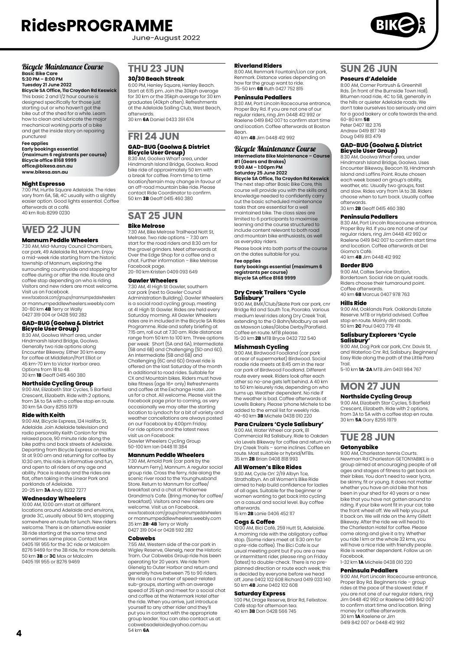June-August 2022



### Bicycle Maintenance Course **Basic Bike Care 5:30 PM – 8:00 PM**

**Tuesday 21 June 2022 Bicycle SA Office, 11a Croydon Rd Keswick** This basic 2 and 1/2 hour course is designed specifically for those just starting out or who haven't got the bike out of the shed for a while. Learn how to clean and lubricate the major mechanical working parts of a bike and get the inside story on repairing punctures!

#### **Fee applies**

**Early bookings essential (maximum 6 registrants per course) Bicycle office 8168 9999 office@bikesa.asn.au [www.bikesa.asn.au](http://www.bikesa.asn.au)**

#### **Night Espresso**

7:00 PM, Hurtle Square Adelaide. The rides vary from 6A, 5B, 4C usually with a slightly easier option. Good lights essential. Coffee afterwards at a café. 40 km Rob 8299 0230

## **WED 22 JUN**

#### **Mannum Peddle Wheelers**

7:30 AM, Mid-Murray Council Chambers, car park, 49 Adelaide Rd, Mannum. Enjoy a mid-week ride starting from the historic township of Mannum, exploring the surrounding countryside and stopping for coffee during or after the ride. Route and coffee stop depending on who is riding. Visitors and new riders are most welcome. Visit us on Facebook.

www.facebook.com/groups/mannumpedalwheelers or mannumpeddlewheelers.weebly.com 30-80 km **4B** Terry or Wally 0427 319 004 or 0428 592 282

## **GAD-BUG (Goolwa & District Bicycle User Group)**

8:30 AM, Goolwa Wharf area, under Hindmarsh Island Bridge, Goolwa. Generally two ride options along Encounter Bikeway. Either 30 km easy for coffee at Middleton/Port Elliot or 45 km-70 km to Victor Harbor area. Options from 1B to 4B. 30 km **1B** Geoff 0415 460 380

#### **Northside Cycling Group**

9:00 AM, Elizabeth Star Cycles, 5 Barfield Crescent, Elizabeth. Ride with 2 options, from 3A to 5A with a coffee stop en route. 30 km 5A Gary 8255 1979

#### **Ride with Keith**

9:00 AM, Bicycle Express, 124 Halifax St, Adelaide. Join Adelaide television and radio personality Keith Conlon for this relaxed pace, 90 minute ride along the bike paths and back streets of Adelaide. Departing from Bicycle Express on Halifax St at 9:00 am and returning for coffee by 10:30 am, this ride is informative and fun, and open to all riders of any age and ability. Pace is steady and the rides are flat, often taking in the Linear Park and parklands of Adelaide. 20-25 km **3A** Andy 8232 7277

#### **Wednesday Wheelers**

10:00 AM, 10:00 am start at different locations around Adelaide and environs, grade 3C, usually about 50 km, stopping somewhere en route for lunch. New riders welcome. There is an alternative easier 3B ride starting at the same time and sometimes same place. Contact Max 0405 191 955 for the 3C ride or Malcolm 8276 9469 for the 3B ride, for more details.

50 km **3B** or **3C** Max or Malcolm 0405 191 955 or 8276 9469

### **THU 23 JUN**

#### **30/30 Beach Streak**

6:00 PM, Henley Square, Henley Beach. Start at 6:15 pm. Join the 30kph average for 30 km or the 35kph average for 30 km graduates (40kph often). Refreshments at the Adelaide Sailing Club, West Beach, afterwards.

30 km **6A** Daniel 0433 391 674

# **FRI 24 JUN**

# **GAD-BUG (Goolwa & District Bicycle User Group)** 8:30 AM, Goolwa Wharf area, under

Hindmarsh Island Bridge, Goolwa. Road bike ride of approximately 50 km with a break for coffee. From time to time location/terrain may change in favour of an off-road mountain bike ride. Please contact Ride Coordinator to confirm. 50 km **3B** Geoff 0415 460 380

#### **SAT 25 JUN Bike Melrose**

7:30 AM, Bike Melrose Trailhead Nott St, Melrose. Two ride options – 7:30 am start for the road riders and 8:30 am for the gravel grinders. Meet afterwards at Over the Edge Shop for a coffee and a chat. Further information – Bike Melrose Facebook page. 20-110 km Kristen 0409 093 649

#### **Gawler Wheelers**

7:30 AM, 41 High St Gawler, southern car park (next to Gawler Council Administration Building). Gawler Wheelers is a social road cycling group, meeting at 41 High St Gawler. Rides are held every Saturday morning. All Gawler Wheelers rides are in included in the Bicycle SA Rides Programme. Ride and safety briefing at 7:15 am, roll out at 7.30 am. Ride distances range from 50 km to 100 km. Three options per week: Short (5A and 6A), Intermediate (5B and 6B) and Challenging (5D and 6D). An Intermediate (5B and 6B) and Challenging (6C and 6D) Gravel ride is offered on the last Saturday of the month<br>in additional to road rides Suitable for in additional to road rides. Suitable for CX and Mountain bikes. Riders must have bike fitness (age 16+ only) Refreshments and coffee at the Exchange Hotel. Join us for a chat. All welcome. Please visit the Facebook page prior to coming, as very occasionally we may alter the starting location to Lyndoch for a bit of variety and weather cancellations are always posted on our Facebook by 4:00pm Friday. For ride options and the latest news visit us on Facebook: Gawler Wheelers Cycling Group 50-100 km Ian 0448 111 384

#### **Mannum Peddle Wheelers**

7:30 AM, Arnold Park (car park by the Mannum Ferry), Mannum. A regular social group ride. Cross the ferry, ride along the scenic river road to the Younghusband Store. Return to Mannum for coffee/ breakfast and a chat at Picklemee Grandma's Cafe. (Bring money for coffee/ breakfast). Visitors and new riders are welcome. Visit us on Facebook. www.facebook.com/groups/mannumpedalwheelers or mannumpeddlewheelers.weebly.com 35 km **2B**-**4B** Terry or Wally 0427 319 004 or 0428 592 282

#### **Cobwebs**

7:55 AM, Western side of the car park in Wigley Reserve, Glenelg, near the Historic Tram. Our Cobwebs Group ride has been operating for 20 years. We ride from Glenelg to Outer Harbor and return and generally have between 75 to 90 riders. We ride as a number of speed-related sub-groups, starting with an average speed of 25 kph and meet for a social chat and coffee at the Watermark Hotel after the ride. When you arrive, just introduce yourself to any other rider and they'll put you in contact with the appropriate group leader. You can also contact us at: cobwebsadelaide@yahoo.com.au 54 km **6A**

#### **Riverland Riders**

8:00 AM, Renmark Fountain/Lion car park, Renmark. Distance varies depending on how far the group want to ride. 35-50 km **6B** Ruth 0427 752 815

#### **Peninsula Pedallers**

8:30 AM, Port Lincoln Racecourse entrance, Proper Bay Rd. If you are not one of our regular riders, ring Jim 0448 412 992 or Raelene 0419 842 007 to confirm start time and location. Coffee afterwards at Boston Bean. 40 km **4B** Jim 0448 412 992

#### Bicycle Maintenance Course **Intermediate Bike Maintenance – Course #1 (Gears and Brakes)**

#### **9:00 AM – 1:00pm PM Saturday 25 June 2022 Bicycle SA Office, 11a Croydon Rd Keswick**

The next step after Basic Bike Care, this course will provide you with the skills and knowledge needed to confidently carry out the basic scheduled maintenance tasks that are essential for a well maintained bike. The class sizes are limited to 6 participants to maximise learning and the course structured to include content relevant to both road and mountain bike enthusiasts, as well as everyday riders.

Please book into both parts of the course on the dates suitable for you. **Fee applies Early bookings essential (maximum 6** 

**registrants per course) Bicycle SA office 8168 9999**

## **Dry Creek Trailers 'Cycle Salisbury'**

9:00 AM, BMX/Club/Skate Park car park, cnr Bridge Rd and South Tce, Pooraka. Various medium level rides along Dry Creek Trail, extending to the O Bahn/Modbury as well as Mawson Lakes/Globe Derby/Parafield. Coffee en route. MTB please. 15-20 km **2B** MTB Bryce 0432 732 540

#### **Mishmash Cycling**

9:00 AM, Birdwood Foodland (car park at rear of supermarket) Birdwood. Social roadie ride meets at 8:45 am in the rear car park of Birdwood Foodland. Different route every week. Riders look after each other so no-one gets left behind. A 40 km to 50 km leisurely ride, depending on who turns up. Weather dependent. No ride if the weather is bad. Coffee afterwards at Lovells Bakery. Please 'phone Michele to be added to the email list for weekly ride. 40-60 km **3B** Michele 0438 010 220

#### **Para Cruizers 'Cycle Salisbury'**

9:00 AM, Water Wheel car park, 81 Commercial Rd Salisbury. Ride to Oakden via Levels Bikeway for coffee and return via Dry Creek Trails – some inclines. Coffee en route. Most suitable or hybrid/MTBs. 35 km **2B** Brian 0408 818 993

#### **All Women's Bike Rides**

9:30 AM, Cycle On' 2/19 Albyn Tce, Strathalbyn. An all Women's Bike Ride aimed to help build confidence for ladies of all ages. Suitable for the beginner or women wanting to get back into cycling on a casual and social level. Buy coffee afterwards. 15 km **2B** Lanie 0406 452 117

#### **Cogs & Coffee**

10:00 AM, Bici Café, 259 Hutt St, Adelaide. A morning ride with the obligatory coffee stop. (Some riders meet at 9.30 am for a pre-ride coffee). The Bici Cafe is our usual meeting point but if you are a new or intermittent rider, please ring on Friday (latest) to double-check. There is no preplanned direction or route each week; this is decided by everyone before we head off. Jane 0402 102 608 Richard 0419 033 140 50 km **4B** Jane 0402 102 608

#### **Saturday Express**

1:00 PM, Drage Reserve, Briar Rd, Felixstow. Café stop for afternoon tea. 40 km **3B** Don 0428 566 745

### **SUN 26 JUN**

#### **Poseurs d'Adelaide**

8:00 AM, Corner Portrush & Greenhill Rds. (in front of the Burnside Town Hall). Bitumen road ride, 4C to 5B, generally in the hills or quieter Adelaide roads. We don't take ourselves too seriously and aim for a good bakery or cafe towards the end. 60-80 km **5B**

Peter 0407 182 376 Andrew 0419 817 749 Doug 0419 813 479

# **GAD-BUG (Goolwa & District Bicycle User Group)** 8:30 AM, Goolwa Wharf area, under

Hindmarsh Island Bridge, Goolwa. Uses Encounter Bikeway, Beacon 19, Hindmarsh Island and Laffins Point. Route chosen each week based on group's ability, weather, etc. Usually two groups, fast and slow. Rides vary from 1A to 3B. Riders choose when to turn back. Usually coffee afterwards. 30 km **2B** Geoff 0415 460 380

### **Peninsula Pedallers**

8:30 AM, Port Lincoln Racecourse entrance, Proper Bay Rd. If you are not one of our regular riders, ring Jim 0448 412 992 or Raelene 0419 842 007 to confirm start time and location. Coffee afterwards at Del Giorno's Café. 40 km **4B** Jim 0448 412 992

#### **Border BUG**

9:00 AM, Caltex Service Station, Bordertown. Social ride on quiet roads. Riders choose their turnaround point. Coffee afterwards. 40 km **6B** Marcus 0407 978 763

**Hills Ride** 9:00 AM, Oaklands Park. Oaklands Estate Reserve. MTB or Hybrid advised. Coffee stop en route. Mainly dirt roads. 50 km **2C** Paul 0403 779 411

#### **Salisbury Explorers 'Cycle Salisbury'**

9:00 AM, Dog Park car park, Cnr. Davis St. and Waterloo Cnr. Rd, Salisbury. Beginners/ Easy Ride along the path of the Little Para

Trail. 5-10 km **1A**-**2A** MTB Jim 0401 984 767

### **MON 27 JUN Northside Cycling Group**

9:00 AM, Elizabeth Star Cycles, 5 Barfield Crescent, Elizabeth. Ride with 2 options, from 3A to 5A with a coffee stop en route. 30 km **5A** Gary 8255 1979

### **TUE 28 JUN**

#### **Getonyabike**

9:00 AM, Charleston tennis Courts. Newman Rd Charleston GETONYABIKE is a group aimed at encouraging people of all ages and stages of fitness to get back on their bikes. You don't need to wear lycra, be skinny, fit or young. It does not matter whether you have an old bike that has been in your shed for 40 years or a new bike that you have not gotten around to riding. If your bike wont fit in your car, take the front wheel off. We will help you put it back on. We will ride on the Amy Gillett Bikeway. After the ride we will head to the Charleston Hotel for coffee. Please come along and give it a try. Whether you ride 1 km or the whole 32 kms, you yea have right and whole serving, yearly will have a nice ride with friendly people. Ride is weather dependent. Follow us on Facebook.

1-32 km **1A** Michele 0438 010 220

#### **Peninsula Pedallers**

9:00 AM, Port Lincoln Racecourse entrance, Proper Bay Rd. Beginners ride – group rides at the pace of the slowest rider. If you are not one of our regular riders, ring Jim 0448 412 992 or Raelene 0419 842 007 to confirm start time and location. Bring money for coffee afterwards. 30 km **1A** Raelene or Jim 0419 842 007 or 0448 412 992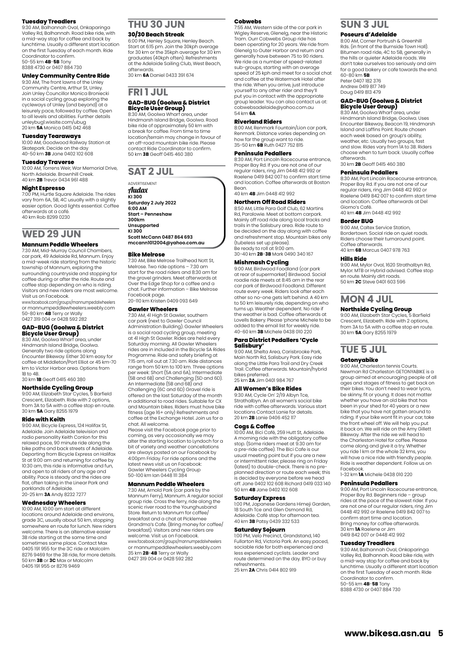#### **Tuesday Treadlers**

9:30 AM, Balhannah Oval, Onkaparinga Valley Rd, Balhannah. Road bike ride, with a mid-way stop for coffee and back by lunchtime. Usually a different start location on the first Tuesday of each month. Ride Coordinator to confirm. 50-55 km **4B**-**5B** Tony 8388 4730 or 0407 884 730

#### **Unley Community Centre Ride**

9:30 AM, The front lawns of the Unley Community Centre, Arthur St, Unley. Join Unley Councillor Monica Broniecki in a social cycling group exploring the cycleways of Unley (and beyond) at a leisurely pace, followed by coffee. Open to all levels and abilities. Further details unleybug1.wixsite.com/ubug 20 km **5A** Monica 0415 042 468

#### **Tuesday Tearaways**

10:00 AM, Goodwood Railway Station at Skatepark. Decide on the day 40-50 km **3B** Jane 0402 102 608

#### **Tuesday Traverse**

10:00 AM, Torrens Weir, War Memorial Drive, North Adelaide. Brownhill Creek. 40 km **2B** Trevor 0434 961 488

#### **Night Espresso**

7:00 PM, Hurtle Square Adelaide. The rides vary from 6A, 5B, 4C usually with a slightly easier option. Good lights essential. Coffee afterwards at a café. 40 km Rob 8299 0230

### **WED 29 JUN**

#### **Mannum Peddle Wheelers**

7:30 AM, Mid-Murray Council Chambers, car park, 49 Adelaide Rd, Mannum. Enjoy a mid-week ride starting from the historic township of Mannum, exploring the

surrounding countryside and stopping for coffee during or after the ride. Route and coffee stop depending on who is riding. Visitors and new riders are most welcome.<br>Visit us on Eacebook Visit us on Facebook. www.facebook.com/groups/mannumpedalwheelers

or mannumpeddlewheelers.weebly.com 50-80 km **4B** Terry or Wally 0427 319 004 or 0428 592 282

### **GAD-BUG (Goolwa & District**

**Bicycle User Group)** 8:30 AM, Goolwa Wharf area, under Hindmarsh Island Bridge, Goolwa. Generally two ride options along Encounter Bikeway. Either 30 km easy for coffee at Middleton/Port Elliot or 45 km-70 km to Victor Harbor area. Options from 1B to 4B. 30 km **1B** Geoff 0415 460 380

**Northside Cycling Group** 9:00 AM, Elizabeth Star Cycles, 5 Barfield Crescent, Elizabeth. Ride with 2 options, from 3A to 5A with a coffee stop en route. 30 km **5A** Gary 8255 1979

#### **Ride with Keith**

9:00 AM, Bicycle Express, 124 Halifax St, Adelaide. Join Adelaide television and radio personality Keith Conlon for this relaxed pace, 90 minute ride along the bike paths and back streets of Adelaide. Departing from Bicycle Express on Halifax St at 9:00 am and returning for coffee by 10:30 am, this ride is informative and fun, and open to all riders of any age and ability. Pace is steady and the rides are flat, often taking in the Linear Park and parklands of Adelaide. 20-25 km **3A** Andy 8232 7277

#### **Wednesday Wheelers**

10:00 AM, 10:00 am start at different locations around Adelaide and environs, grade 3C, usually about 50 km, stopping somewhere en route for lunch. New riders welcome. There is an alternative easier 3B ride starting at the same time and sometimes same place. Contact Max 0405 191 955 for the 3C ride or Malcolm 8276 9469 for the 3B ride, for more details. 50 km **3B** or **3C** Max or Malcolm 0405 191 955 or 8276 9469

### **THU 30 JUN**

#### **30/30 Beach Streak**

6:00 PM, Henley Square, Henley Beach. Start at 6:15 pm. Join the 30kph average for 30 km or the 35kph average for 30 km graduates (40kph often). Refreshments at the Adelaide Sailing Club, West Beach, afterwards. 30 km **6A** Daniel 0433 391 674

### **FRI 1 JUL**

#### **GAD-BUG (Goolwa & District Bicycle User Group)**

8:30 AM, Goolwa Wharf area, under Hindmarsh Island Bridge, Goolwa. Road bike ride of approximately 50 km with a break for coffee. From time to time location/terrain may change in favour of an off-road mountain bike ride. Please contact Ride Coordinator to confirm. 50 km **3B** Geoff 0415 460 380

### **SAT 2 JUL**

ADVERTISEMENT Audax **KI 300 Saturday 2 July 2022 6:00 AM Start – Penneshaw**

**300km Unsupported**

**KI 300**

#### **Scott McCann 0487 864 693 mccann1012004@yahoo.com.au**

#### **Bike Melrose**

7:30 AM, Bike Melrose Trailhead Nott St, Melrose. Two ride options – 7:30 am start for the road riders and 8:30 am for the gravel grinders. Meet afterwards at Over the Edge Shop for a coffee and a chat. Further information – Bike Melrose Facebook page. 20-110 km Kristen 0409 093 649

**Gawler Wheelers**

#### 7:30 AM, 41 High St Gawler, southern

car park (next to Gawler Council Administration Building). Gawler Wheelers is a social road cycling group, meeting<br>at 41 High St Gawler. Rides are held every<br>Saturday morning. All Gawler Wheelers<br>rides are in included in the Bicycle SA Rides Programme. Ride and safety briefing at 7:15 am, roll out at 7.30 am. Ride distances range from 50 km to 100 km. Three options per week: Short (5A and 6A), Intermediate (5B and 6B) and Challenging (5D and 6D). An Intermediate (5B and 6B) and Challenging (6C and 6D) Gravel ride is offered on the last Saturday of the month in additional to road rides. Suitable for CX and Mountain bikes. Riders must have bike fitness (age 16+ only) Refreshments and coffee at the Exchange Hotel. Join us for a chat. All welcome.

Please visit the Facebook page prior to coming, as very occasionally we may alter the starting location to Lyndoch for a bit of variety and weather cancellations are always posted on our Facebook by 4:00pm Friday. For ride options and the latest news visit us on Facebook: Gawler Wheelers Cycling Group 50-100 km Ian 0448 111 384

#### **Mannum Peddle Wheelers**

7:30 AM, Arnold Park (car park by the Mannum Ferry), Mannum. A regular social group ride. Cross the ferry, ride along the scenic river road to the Younghusband Store. Return to Mannum for coffee/ breakfast and a chat at Picklemee Grandma's Cafe. (Bring money for coffee/ breakfast). Visitors and new riders are welcome. Visit us on Facebook. www.facebook.com/groups/mannumpedalwheelers or mannumpeddlewheelers.weebly.com 35 km **2B**-**4B** Terry or Wally 0427 319 004 or 0428 592 282

#### **Cobwebs**

7:55 AM, Western side of the car park in Wigley Reserve, Glenelg, near the Historic Tram. Ourr Cobwebs Group ride has been operating for 20 years. We ride from Glenelg to Outer Harbor and return and generally have between 75 to 90 riders. We ride as a number of speed-related sub-groups, starting with an average speed of 25 kph and meet for a social chat and coffee at the Watermark Hotel after the ride. When you arrive, just introduce yourself to any other rider and they'll put you in contact with the appropriate group leader. You can also contact us at: cobwebsadelaide@yahoo.com.au 54 km **6A**

#### **Riverland Riders**

8:00 AM, Renmark Fountain/Lion car park, Renmark. Distance varies depending on how far the group want to ride. 35-50 km **6B** Ruth 0427 752 815

#### **Peninsula Pedallers**

8:30 AM, Port Lincoln Racecourse entrance, Proper Bay Rd. If you are not one of our regular riders, ring Jim 0448 412 992 or Raelene 0419 842 007 to confirm start time and location. Coffee afterwards at Boston Bean. 40 km **4B** Jim 0448 412 992

#### **Northern Off Road Riders**  8:50 AM, Little Para Golf Club, 62 Martins

Rd, Paralowie. Meet at bottom carpark. Mainly off road ride along local tracks and trails in the Salisbury area. Ride route to be decided on the day along with coffee and refreshment stop. Mountain bikes only (tubeless set up please). Be ready to roll at 9:00 am. 30-40 km **2B**-**3B** Mark 0490 340 167

**Mishmash Cycling**<br>9:00 AM, Birdwood Foodland (car park<br>at rear of supermarket) Birdwood. Social roadie ride meets at 8:45 am in the rear car park of Birdwood Foodland. Different route every week. Riders look after each other so no-one gets left behind. A 40 km to 50 km leisurely ride, depending on who turns up. Weather dependent. No ride if the weather is bad. Coffee afterwards at Lovells Bakery. Please 'phone Michele to be added to the email list for weekly ride. 40-60 km **3B** Michele 0438 010 220

## **Para District Pedallers 'Cycle**

**Salisbury'** 9:00 AM, Shelta Area, Carisbrooke Park, Main North Rd, Salisbury Park. Easy ride along the Little Para Trail and Dry Creek Trail. Coffee afterwards. Mountain/hybrid bikes preferred. 25 km **2A** Jim 0401 984 767

### **All Women's Bike Rides**

9:30 AM, Cycle On' 2/19 Albyn Tce, Strathalbyn. An all women's social bike ride with coffee afterwards. Various start locations Contact Lanie for details. 20 km **2B** Lanie 0406 452 117

#### **Cogs & Coffee**

10:00 AM, Bici Café, 259 Hutt St, Adelaide. A morning ride with the obligatory coffee stop. (Some riders meet at 9.30 am for a pre-ride coffee). The Bici Cafe is our usual meeting point but if you are a new or intermittent rider, please ring on Friday (latest) to double-check. There is no preplanned direction or route each week; this is decided by everyone before we head off. Jane 0402 102 608 Richard 0419 033 140 50 km **4B** Jane 0402 102 608

#### **Saturday Express**

1:00 PM, Japanese Gardens Himeji Garden, 18 South Tce and Glen Osmond Rd, Adelaide. Café stop for afternoon tea. 40 km **3B** Patsy 0439 332 533

#### **Saturday Sojourn**

1:00 PM, Velo Precinct, Grandstand, 140 Fullarton Rd, Victoria Park. An easy paced, sociable ride for both experienced and less experienced cyclists. Leader and route determined on the day. BYO or buy refreshments.

25 km **2A** Chris 0414 802 919

### **SUN 3 JUL**

#### **Poseurs d'Adelaide**

8:00 AM, Corner Portrush & Greenhill Rds. (in front of the Burnside Town Hall). Bitumen road ride, 4C to 5B, generally in the hills or quieter Adelaide roads. We don't take ourselves too seriously and aim for a good bakery or cafe towards the end. 60-80 km **5B**

Peter 0407 182 376 Andrew 0419 817 749

### Doug 0419 813 479

#### **GAD-BUG (Goolwa & District Bicycle User Group)**

8:30 AM, Goolwa Wharf area, under Hindmarsh Island Bridge, Goolwa. Uses Encounter Bikeway, Beacon 19, Hindmarsh Island and Laffins Point. Route chosen each week based on group's ability, weather, etc. Usually two groups, fast and slow. Rides vary from 1A to 3B. Riders choose when to turn back. Usually coffee afterwards. 30 km **2B** Geoff 0415 460 380

#### **Peninsula Pedallers**

8:30 AM, Port Lincoln Racecourse entrance, Proper Bay Rd. If you are not one of our regular riders, ring Jim 0448 412 992 or Raelene 0419 842 007 to confirm start time and location. Coffee afterwards at Del Giorno's Café.

40 km **4B** Jim 0448 412 992

#### **Border BUG**

9:00 AM, Caltex Service Station, Bordertown. Social ride on quiet roads. Riders choose their turnaround point. Coffee afterwards. 40 km **6B** Marcus 0407 978 763

### **Hills Ride**

9:00 AM, Mylor Oval, 1620 Strathalbyn Rd, Mylor. MTB or Hybrid advised. Coffee stop en route. Mainly dirt roads. 50 km **2C** Steve 0401 603 596

# **MON 4 JUL**

**Northside Cycling Group** 9:00 AM, Elizabeth Star Cycles, 5 Barfield Crescent, Elizabeth. Ride with 2 options, from 3A to 5A with a coffee stop en route. 30 km **5A** Gary 8255 1979

## **TUE 5 JUL**

### **Getonyabike**

9:00 AM, Charleston tennis Courts. Newman Rd Charleston GETONYABIKE is a group aimed at encouraging people of all ages and stages of fitness to get back on their bikes. You don't need to wear lycra, be skinny, fit or young. It does not matter whether you have an old bike that has been in your shed for 40 years or a new bike that you have not gotten around to riding. If your bike wont fit in your car, take the front wheel off. We will help you put it back on. We will ride on the Amy Gillett Bikeway. After the ride we will head to the Charleston Hotel for coffee. Please come along and give it a try. Whether you ride 1 km or the whole 32 kms, you will have a nice ride with friendly people. Ride is weather dependent. Follow us on Facebook. 1-32 km **1A** Michele 0438 010 220

#### **Peninsula Pedallers**

9:00 AM, Port Lincoln Racecourse entrance, Proper Bay Rd. Beginners ride – group rides at the pace of the slowest rider. If you are not one of our regular riders, ring Jim 0448 412 992 or Raelene 0419 842 007 to confirm start time and location. Bring money for coffee afterwards. 30 km **1A** Raelene or Jim 0419 842 007 or 0448 412 992

#### **Tuesday Treadlers**

9:30 AM, Balhannah Oval, Onkaparinga Valley Rd, Balhannah. Road bike ride, with a mid-way stop for coffee and back by lunchtime. Usually a different start location on the first Tuesday of each month. Ride Coordinator to confirm. 50-55 km **4B**-**5B** Tony 8388 4730 or 0407 884 730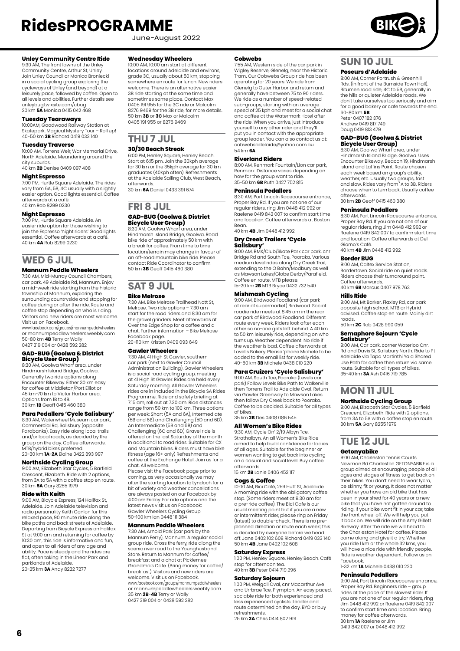June-August 2022



#### **Unley Community Centre Ride**

9:30 AM, The front lawns of the Unley Community Centre, Arthur St, Unley. Join Unley Councillor Monica Broniecki in a social cycling group exploring the cycleways of Unley (and beyond) at a leisurely pace, followed by coffee. Open to all levels and abilities. Further details see unleybug1.wixsite.com/ubug 20 km **5A** Monica 0415 042 468

#### **Tuesday Tearaways**

10:00AM, Goodwood Railway Station at Skatepark. Magical Mystery Tour – Roll up! 40-50 km **3B** Richard 0419 033 140

#### **Tuesday Traverse**

10:00 AM, Torrens Weir, War Memorial Drive, North Adelaide. Meandering around the city suburbs. 40 km **2B** Denise 0409 097 408

#### **Night Espresso**

7:00 PM, Hurtle Square Adelaide. The rides vary from 6A, 5B, 4C usually with a slightly easier option. Good lights essential. Coffee afterwards at a café. 40 km Rob 8299 0230

#### **Night Espresso**

7:00 PM, Hurtle Square Adelaide. An easier ride option for those wishing to join the Espresso 'night riders' Good lights essential. Coffee afterwards at a café. 40 km **4A** Rob 8299 0230

### **WED 6 JUL**

#### **Mannum Peddle Wheelers**

7:30 AM, Mid-Murray Council Chambers, car park, 49 Adelaide Rd, Mannum. Enjoy a mid-week ride starting from the historic township of Mannum, exploring the surrounding countryside and stopping for coffee during or after the ride. Route and coffee stop depending on who is riding. Visitors and new riders are most welcome. Visit us on Facebook.

www.facebook.com/groups/mannumpedalwheelers or mannumpeddlewheelers.weebly.com 50-80 km **4B** Terry or Wally 0427 319 004 or 0428 592 282

# **GAD-BUG (Goolwa & District Bicycle User Group)** 8:30 AM, Goolwa Wharf area, under

Hindmarsh Island Bridge, Goolwa. Generally two ride options along Encounter Bikeway. Either 30 km easy for coffee at Middleton/Port Elliot or 45 km-70 km to Victor Harbor area. Options from 1B to 4B. 30 km **1B** Geoff 0415 460 380

#### **Para Pedallers 'Cycle Salisbury'**

8:30 AM, Waterwheel Museum car park Commercial Rd, Salisbury (opposite Parabanks). Easy ride along local trails and/or local roads, as decided by the group on the day. Coffee afterwards. MTB/hybrid bikes preferred. 20-30 km **1A**-**2A** Elaine 0422 393 997

**Northside Cycling Group**<br>9:00 AM, Elizabeth Star Cycles, 5 Barfield<br>Crescent, Elizabeth. Ride with 2 options,<br>from 3A to 5A with a coffee stop en route. 30 km **5A** Gary 8255 1979

#### **Ride with Keith**

9:00 AM, Bicycle Express, 124 Halifax St, Adelaide. Join Adelaide television and radio personality Keith Conlon for this relaxed pace, 90 minute ride along the bike paths and back streets of Adelaide. Departing from Bicycle Express on Halifax St at 9:00 am and returning for coffee by 10:30 am, this ride is informative and fun, and open to all riders of any age and ability. Pace is steady and the rides are flat, often taking in the Linear Park and parklands of Adelaide. 20-25 km **3A** Andy 8232 7277

#### **Wednesday Wheelers**

10:00 AM, 10:00 am start at different locations around Adelaide and environs, grade 3C, usually about 50 km, stopping somewhere en route for lunch. New riders welcome. There is an alternative easier 3B ride starting at the same time and sometimes same place. Contact Max 0405 191 955 for the 3C ride or Malcolm 8276 9469 for the 3B ride, for more details. 50 km **3B** or **3C** Max or Malcolm 0405 191 955 or 8276 9469

## **THU 7 JUL**

### **30/30 Beach Streak**

6:00 PM, Henley Square, Henley Beach. Start at 6:15 pm. Join the 30kph average for 30 km or the 35kph average for 30 km graduates (40kph often). Refreshments at the Adelaide Sailing Club, West Beach, afterwards. 30 km **6A** Daniel 0433 391 674

### **FRI 8 JUL GAD-BUG (Goolwa & District Bicycle User Group)**

8:30 AM, Goolwa Wharf area, under Hindmarsh Island Bridge, Goolwa. Road bike ride of approximately 50 km with a break for coffee. From time to time location/terrain may change in favour of an off-road mountain bike ride. Please contact Ride Coordinator to confirm. 50 km **3B** Geoff 0415 460 380

## **SAT 9 JUL**

**Bike Melrose**

7:30 AM, Bike Melrose Trailhead Nott St, Melrose. Two ride options – 7:30 am<br>start for the road riders and 8:30 am for start for the road riders and 8:30 am for the gravel grinders. Meet afterwards at Over the Edge Shop for a coffee and a chat. Further information – Bike Melrose Facebook page. 20-110 km Kristen 0409 093 649

### **Gawler Wheelers**

7:30 AM, 41 High St Gawler, southern car park (next to Gawler Council Administration Building). Gawler Wheelers is a social road cycling group, meeting at 41 High St Gawler. Rides are held every Saturday morning. All Gawler Wheelers rides are in included in the Bicycle SA Rides Programme. Ride and safety briefing at 7:15 am, roll out at 7.30 am. Ride distances range from 50 km to 100 km. Three options per week: Short (5A and 6A), Intermediate (5B and 6B) and Challenging (5D and 6D). An Intermediate (5B and 6B) and Challenging (6C and 6D) Gravel ride is offered on the last Saturday of the month in additional to road rides. Suitable for CX and Mountain bikes. Riders must have bike fitness (age 16+ only) Refreshments and coffee at the Exchange Hotel. Join us for a chat. All welcome.

Please visit the Facebook page prior to coming, as very occasionally we may alter the starting location to Lyndoch for a bit of variety and weather cancellations are always posted on our Facebook by 4:00pm Friday. For ride options and the latest news visit us on Facebook: Gawler Wheelers Cycling Group 50-100 km Ian 0448 111 384

#### **Mannum Peddle Wheelers**

7:30 AM, Arnold Park (car park by the Mannum Ferry), Mannum. A regular social group ride. Cross the ferry, ride along the scenic river road to the Younghusband Store. Return to Mannum for coffee breakfast and a chat at Picklemee Grandma's Cafe. (Bring money for coffee/ breakfast). Visitors and new riders are welcome. Visit us on Facebook. www.facebook.com/groups/mannumpedalwheelers or mannumpeddlewheelers.weebly.com 35 km **2B**-**4B** Terry or Wally 0427 319 004 or 0428 592 282

#### **Cobwebs**

7:55 AM, Western side of the car park in Wigley Reserve, Glenelg, near the Historic Tram. Our Cobwebs Group ride has been operating for 20 years. We ride from Glenelg to Outer Harbor and return and generally have between 75 to 90 riders We ride as a number of speed-related sub-groups, starting with an average speed of 25 kph and meet for a social chat and coffee at the Watermark Hotel after the ride. When you arrive, just introduce yourself to any other rider and they'll put you in contact with the appropriate group leader. You can also contact us at: cobwebsadelaide@yahoo.com.au 54 km **6A**

#### **Riverland Riders**

8:00 AM, Renmark Fountain/Lion car park, Renmark. Distance varies depending on how far the group want to ride. 35-50 km **6B** Ruth 0427 752 815

#### **Peninsula Pedallers**

8:30 AM, Port Lincoln Racecourse entrance, Proper Bay Rd. If you are not one of our regular riders, ring Jim 0448 412 992 or Raelene 0419 842 007 to confirm start time and location. Coffee afterwards at Boston **Bean** 

40 km **4B** Jim 0448 412 992

### **Dry Creek Trailers 'Cycle Salisbury'**

9:00 AM, BMX/Club/Skate Park car park, cnr Bridge Rd and South Tce, Pooraka. Various medium level rides along Dry Creek Trail, extending to the O Bahn/Modbury as well as Mawson Lakes/Globe Derby/Parafield. Coffee en route. MTB please. 15-20 km **2B** MTB Bryce 0432 732 540

#### **Mishmash Cycling**

9:00 AM, Birdwood Foodland (car park at rear of supermarket) Birdwood. Social roadie ride meets at 8:45 am in the rear car park of Birdwood Foodland. Different route every week. Riders look after each other so no-one gets left behind. A 40 km to 50 km leisurely ride, depending on who turns up. Weather dependent. No ride if the weather is bad. Coffee afterwards at Lovells Bakery. Please 'phone Michele to be added to the email list for weekly ride. 40-60 km **3B** Michele 0438 010 220

#### **Para Cruizers 'Cycle Salisbury'**

9:00 AM, South Tce, Pooraka (Levels car park) Follow Levels Bike Path to Walkerville then Torrens Trail to Adelaide Oval. Return via Gawler Greenway to Mawson Lakes then follow Dry Creek back to Pooraka. Coffee to be decided. Suitable for all types of bikes. 35 km **2B** Des 0408 086 545

#### **All Women's Bike Rides** 9:30 AM, Cycle On' 2/19 Albyn Tce,

Strathalbyn. An all Women's Bike Ride aimed to help build confidence for ladies of all ages. Suitable for the beginner or women wanting to get back into cycling on a casual and social level. Buy coffee afterwards. 15 km **2B** Lanie 0406 452 117

### **Cogs & Coffee**

10:00 AM, Bici Café, 259 Hutt St, Adelaide. A morning ride with the obligatory coffee stop. (Some riders meet at 9.30 am for a pre-ride coffee). The Bici Cafe is our usual meeting point but if you are a new or intermittent rider, please ring on Friday (latest) to double-check. There is no preplanned direction or route each week; this is decided by everyone before we head off. Jane 0402 102 608 Richard 0419 033 140 50 km **4B** Jane 0402 102 608

#### **Saturday Express**

1:00 PM, Henley Square, Henley Beach. Café stop for afternoon tea. 40 km **3B** Peter 0414 719 296

#### **Saturday Sojourn**

1:00 PM, Weigall Oval, cnr Macarthur Ave and Urrbrae Tce, Plympton. An easy paced, sociable ride for both experienced and less experienced cyclists. Leader and route determined on the day. BYO or buy refreshments. 25 km **2A** Chris 0414 802 919

### **SUN 10 JUL**

#### **Poseurs d'Adelaide**

8:00 AM, Corner Portrush & Greenhill Rds. (in front of the Burnside Town Hall).<br>Bitumen road ride, 4C to 5B, generally in the hills or quieter Adelaide roads. We<br>don't take ourselves too seriously and aim don't take ourselves too seriously and aim for a good bakery or cafe towards the end. 60-80 km **5B** Peter 0407 182 376 Andrew 0419 817 749 Doug 0419 813 479

**GAD-BUG (Goolwa & District Bicycle User Group)**

8:30 AM, Goolwa Wharf area, under Hindmarsh Island Bridge, Goolwa. Uses Encounter Bikeway, Beacon 19, Hindmarsh Island and Laffins Point. Route chosen each week based on group's ability, weather, etc. Usually two groups, fast and slow. Rides vary from 1A to 3B. Riders choose when to turn back. Usually coffee afterwards. 30 km **2B** Geoff 0415 460 380

#### **Peninsula Pedallers**

8:30 AM, Port Lincoln Racecourse entrance, Proper Bay Rd. If you are not one of our regular riders, ring Jim 0448 412 992 or Raelene 0419 842 007 to confirm start time and location. Coffee afterwards at Del Giorno's Café. 40 km **4B** Jim 0448 412 992

#### **Border BUG**

9:00 AM, Caltex Service Station, Bordertown. Social ride on quiet roads. Riders choose their turnaround point. Coffee afterwards. 40 km **6B** Marcus 0407 978 763

#### **Hills Ride**

9:00 AM, Mt Barker. Flaxley Rd, car park opposite high school. MTB or Hybrid advised. Coffee stop en route. Mainly dirt roads.

50 km **2C** Rob 0428 990 059 **Semaphore Sojourn 'Cycle** 

## **Salisbury'** 9:00 AM, Car park, corner Waterloo Cnr.

Rd and Davis St, Salisbury North. Ride to Pt Adelaide via Tapa Martinthi Yala Shared Use Path for coffee then return via same route. Suitable for all types of bikes. 35-40 km **3A** Ash 0416 719 785

### **MON 11 JUL**

### **Northside Cycling Group**

9:00 AM, Elizabeth Star Cycles, 5 Barfield Crescent, Elizabeth. Ride with 2 options, from 3A to 5A with a coffee stop en route. 30 km **5A** Gary 8255 1979

## **TUE 12 JUL**

### **Getonyabike**

9:00 AM, Charleston tennis Courts. Newman Rd Charleston GETONYABIKE is a group aimed at encouraging people of all ages and stages of fitness to get back on their bikes. You don't need to wear lycra, be skinny, fit or young. It does not matter whether you have an old bike that has been in your shed for 40 years or a new bike that you have not gotten around to riding. If your bike wont fit in your car, take the front wheel off. We will help you put it back on. We will ride on the Amy Gillett Bikeway. After the ride we will head to the Charleston Hotel for coffee. Please come along and give it a try. Whether you ride 1 km or the whole 32 kms, you will have a nice ride with friendly people. Ride is weather dependent. Follow us on Facebook. 1-32 km **1A** Michele 0438 010 220

#### **Peninsula Pedallers**

9:00 AM, Port Lincoln Racecourse entrance, Proper Bay Rd. Beginners ride – group rides at the pace of the slowest rider. If you are not one of our regular riders, ring Jim 0448 412 992 or Raelene 0419 842 007 to confirm start time and location. Bring money for coffee afterwards. 30 km **1A** Raelene or Jim 0419 842 007 or 0448 412 992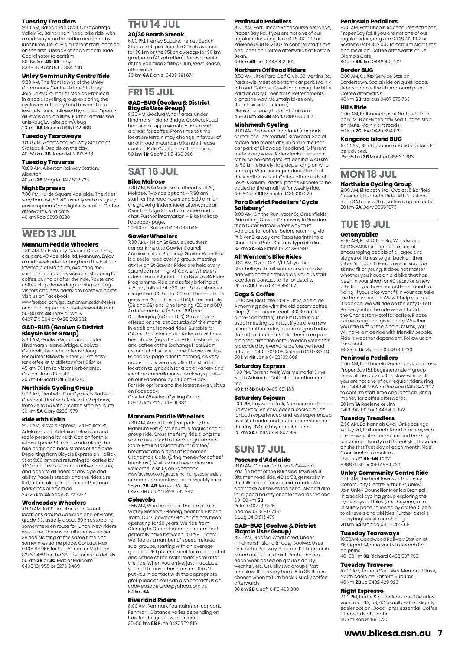#### **Tuesday Treadlers**

9:30 AM, Balhannah Oval, Onkaparinga Valley Rd, Balhannah. Road bike ride, with a mid-way stop for coffee and back by lunchtime. Usually a different start location on the first Tuesday of each month. Ride Coordinator to confirm. 50-55 km **4B**-**5B** Tony 8388 4730 or 0407 884 730

#### **Unley Community Centre Ride**

9:30 AM, The front lawns of the Unley Community Centre, Arthur St, Unley. Join Unley Councillor Monica Broniecki in a social cycling group exploring the cycleways of Unley (and beyond) at a leisurely pace, followed by coffee. Open to all levels and abilities. Further details see unleybug1.wixsite.com/ubug 20 km **5A** Monica 0415 042 468

#### **Tuesday Tearaways**

10:00 AM, Goodwood Railway Station at Skatepark Decide on the day. 40-50 km **3B** Jane 0402 102 608

**Tuesday Traverse** 10:00 AM, Alberton Railway Station, Alberton.

40 km **2B** Magda 0417 802 723

#### **Night Espresso**

7:00 PM, Hurtle Square Adelaide. The rides vary from 6A, 5B, 4C usually with a slightly easier option. Good lights essential. Coffee afterwards at a café. 40 km Rob 8299 0230

**WED 13 JUL**

#### **Mannum Peddle Wheelers**

7:30 AM, Mid-Murray Council Chambers, car park, 49 Adelaide Rd, Mannum. Enjoy a mid-week ride starting from the historic township of Mannum, exploring the surrounding countryside and stopping for coffee during or after the ride. Route and coffee stop depending on who is riding. Visitors and new riders are most welcome.<br>Visit us on Eacebook Visit us on Facebook. www.facebook.com/groups/mannumpedalwheelers

or mannumpeddlewheelers.weebly.com 50-80 km **4B** Terry or Wally 0427 319 004 or 0428 592 282

#### **GAD-BUG (Goolwa & District Bicycle User Group)**

8:30 AM, Goolwa Wharf area, under Hindmarsh Island Bridge, Goolwa. Generally two ride options along Encounter Bikeway. Either 30 km easy for coffee at Middleton/Port Elliot or 45 km-70 km to Victor Harbor area. Options from 1B to 4B. 30 km **1B** Geoff 0415 460 380

#### **Northside Cycling Group**

9:00 AM, Elizabeth Star Cycles, 5 Barfield Crescent, Elizabeth. Ride with 2 options, from 3A to 5A with a coffee stop en route. 30 km **5A** Gary 8255 1979

#### **Ride with Keith**

9:00 AM, Bicycle Express, 124 Halifax St, Adelaide. Join Adelaide television and radio personality Keith Conlon for this relaxed pace, 90 minute ride along the bike paths and back streets of Adelaide. Departing from Bicycle Express on Halifax St at 9:00 am and returning for coffee by 10:30 am, this ride is informative and fun, and open to all riders of any age and ability. Pace is steady and the rides are flat, often taking in the Linear Park and parklands of Adelaide. 20-25 km **3A** Andy 8232 7277

#### **Wednesday Wheelers**

10:00 AM, 10:00 am start at different locations around Adelaide and environs, grade 3C, usually about 50 km, stopping somewhere en route for lunch. New riders welcome. There is an alternative easier 3B ride starting at the same time and sometimes same place. Contact Max 0405 191 955 for the 3C ride or Malcolm 8276 9469 for the 3B ride, for more details. 50 km **3B** or **3C** Max or Malcolm 0405 191 955 or 8276 9469

### **THU 14 JUL**

#### **30/30 Beach Streak**

6:00 PM, Henley Square, Henley Beach. Start at 6:15 pm. Join the 30kph average for 30 km or the 35kph average for 30 km graduates (40kph often). Refreshments at the Adelaide Sailing Club, West Beach, afterwards. 30 km **6A** Daniel 0433 391 674

### **FRI 15 JUL**

#### **GAD-BUG (Goolwa & District Bicycle User Group)**

8:30 AM, Goolwa Wharf area, under Hindmarsh Island Bridge, Goolwa. Road bike ride of approximately 50 km with a break for coffee. From time to time location/terrain may change in favour of an off-road mountain bike ride. Please contact Ride Coordinator to confirm. 50 km **3B** Geoff 0415 460 380

#### **SAT 16 JUL Bike Melrose**

7:30 AM, Bike Melrose Trailhead Nott St, Melrose. Two ride options – 7:30 am start for the road riders and 8:30 am for the gravel grinders. Meet afterwards at Over the Edge Shop for a coffee and a chat. Further information – Bike Melrose Facebook page. 20-110 km Kristen 0409 093 649

### **Gawler Wheelers**

7:30 AM, 41 High St Gawler, southern car park (next to Gawler Council Administration Building). Gawler Wheelers is a social road cycling group, meeting at 41 High St Gawler. Rides are held every Saturday morning. All Gawler Wheelers rides are in included in the Bicycle SA Rides Programme. Ride and safety briefing at 7:15 am, roll out at 7.30 am. Ride distances range from 50 km to 100 km. Three options per week: Short (5A and 6A), Intermediate (5B and 6B) and Challenging (5D and 6D). An Intermediate (5B and 6B) and Challenging (6C and 6D) Gravel ride is offered on the last Saturday of the month in additional to road rides. Suitable for CX and Mountain bikes. Riders must have bike fitness (age 16+ only) Refreshments and coffee at the Exchange Hotel. Join us for a chat. All welcome. Please visit the Facebook page prior to coming, as very occasionally we may alter the starting location to Lyndoch for a bit of variety and weather cancellations are always posted on our Facebook by 4:00pm Friday. For ride options and the latest news visit us on Facebook: Gawler Wheelers Cycling Group 50-100 km Ian 0448 111 384

#### **Mannum Peddle Wheelers**

7:30 AM, Arnold Park (car park by the Mannum Ferry), Mannum. A regular social group ride. Cross the ferry, ride along the scenic river road to the Younghusband Store. Return to Mannum for coffee breakfast and a chat at Picklemee Grandma's Cafe. (Bring money for coffee/ breakfast). Visitors and new riders are welcome. Visit us on Facebook. www.facebook.com/groups/mannumpedalwheelers or mannumpeddlewheelers.weebly.com 35 km **2B**-**4B** Terry or Wally 0427 319 004 or 0428 592 282

#### **Cobwebs**

7:55 AM, Western side of the car park in Wigley Reserve, Glenelg, near the Historic Tram. Our Cobwebs Group ride has been operating for 20 years. We ride from Glenelg to Outer Harbor and return and generally have between 75 to 90 riders. We ride as a number of speed-related sub-groups, starting with an average speed of 25 kph and meet for a social chat and coffee at the Watermark Hotel after the ride. When you arrive, just introduce yourself to any other rider and they'll put you in contact with the appropriate group leader. You can also contact us at: cobwebsadelaide@yahoo.com.au 54 km **6A**

#### **Riverland Riders**

8:00 AM, Renmark Fountain/Lion car park, Renmark. Distance varies depending on how far the group want to ride. 35-50 km **6B** Ruth 0427 752 815

#### **Peninsula Pedallers**

8:30 AM, Port Lincoln Racecourse entrance Proper Bay Rd. If you are not one of our regular riders, ring Jim 0448 412 992 or Raelene 0419 842 007 to confirm start time and location. Coffee afterwards at Boston **Bean** 40 km **4B** Jim 0448 412 992

#### **Northern Off Road Riders**  8:50 AM, Little Para Golf Club, 62 Martins Rd,

Paralowie. Meet at bottom car park. Mainly off road Cobbler Creek loop using the Little Para and Dry Creek trails. Refreshments along the way. Mountain bikes only (tubeless set up please). Please be ready to roll at 9:00 am. 45-50 km **2B**-**3B** Mark 0490 340 167

#### **Mishmash Cycling**

9:00 AM, Birdwood Foodland (car park at rear of supermarket) Birdwood. Social roadie ride meets at 8:45 am in the rear car park of Birdwood Foodland. Different route every week. Riders look after each other so no-one gets left behind. A 40 km to 50 km leisurely ride, depending on who turns up. Weather dependent. No ride if the weather is bad. Coffee afterwards at Lovells Bakery. Please 'phone Michele to be added to the email list for weekly ride. 40-60 km **3B** Michele 0438 010 220

#### **Para District Pedallers 'Cycle Salisbury'**

9:00 AM, On the Run, Vater St, Greenfields. erse *ring Strate Kang valor by Stroermolds*.<br>Ride along Gawler Greenway to Bowden, then Outer Harbor Greenway to Pt Adelaide for coffee, before returning via Pt River Bikeway and Tapa Marinthi Yala Shared Use Path. Suit any type of bike. 33 km **2A**-**3A** Elaine 0422 393 997

#### **All Women's Bike Rides**

9:30 AM, Cycle On' 2/19 Albyn Tce Strathalbyn. An all women's social bike ride with coffee afterwards. Various start locations Contact Lanie for details. 20 km **2B** Lanie 0406 452 117

#### **Cogs & Coffee**

10:00 AM, Bici Café, 259 Hutt St, Adelaide. A morning ride with the obligatory coffee stop. (Some riders meet at 9.30 am for a pre-ride coffee). The Bici Cafe is our usual meeting point but if you are a new or intermittent rider, please ring on Friday (latest) to double-check. There is no preplanned direction or route each week; this is decided by everyone before we head off. Jane 0402 102 608 Richard 0419 033 140 50 km **4B** Jane 0402 102 608

#### **Saturday Express**

1:00 PM, Torrens Weir, War Memorial Drive, North Adelaide. Café stop for afternoon

tea. 40 km **3B** Bob 0409 091 183

#### **Saturday Sojourn**

1:00 PM, Heywood Park, Addiscombe Place,<br>Unley Park. An easy paced, sociable ride<br>for both experienced and less experienced cyclists. Leader and route determined on the day. BYO or buy refreshments. 25 km **2A** Chris 0414 802 919

### **SUN 17 JUL**

#### **Poseurs d'Adelaide**

8:00 AM, Corner Portrush & Greenhill Rds. (in front of the Burnside Town Hall). Bitumen road ride, 4C to 5B, generally in the hills or quieter Adelaide roads. We don't take ourselves too seriously and aim for a good bakery or cafe towards the end. 60-80 km **5B** Peter 0407 182 376 Andrew 0419 817 749 Doug 0419 813 479

#### **GAD-BUG (Goolwa & District Bicycle User Group)**

8:30 AM, Goolwa Wharf area, under Hindmarsh Island Bridge, Goolwa. Uses Encounter Bikeway, Beacon 19, Hindmarsh Island and Laffins Point. Route chosen each week based on group's ability. weather, etc. Usually two groups, fast and slow. Rides vary from 1A to 3B. Riders choose when to turn back. Usually coffee afterwards. 30 km **2B** Geoff 0415 460 380

#### **Peninsula Pedallers**

8:30 AM, Port Lincoln Racecourse entrance, Proper Bay Rd. If you are not one of our regular riders, ring Jim 0448 412 992 or Raelene 0419 842 007 to confirm start time and location. Coffee afterwards at Del Giorno's Café. 40 km **4B** Jim 0448 412 992

#### **Border BUG**

9:00 AM, Caltex Service Station, Bordertown. Social ride on quiet roads. Riders choose their turnaround point. Coffee afterwards. 40 km **6B** Marcus 0407 978 763

#### **Hills Ride**

9:00 AM, Balhannah oval. North end car park. MTB or Hybrid advised. Coffee stop en route. Mainly dirt roads. 50 km **2C** Joe 0429 694 022

#### **Kangaroo Island BUG**

10:00 AM, Start location and ride details to be advised. 25-35 km **3B** Manfred 8553 0383

### **MON 18 JUL**

#### **Northside Cycling Group**

9:00 AM, Elizabeth Star Cycles, 5 Barfield Crescent, Elizabeth. Ride with 2 options, from 3A to 5A with a coffee stop en route. 30 km **5A** Gary 8255 1979

### **TUE 19 JUL**

#### **Getonyabike**

9:00 AM, Post Office Rd, Woodside. GETONYABIKE is a group aimed at encouraging people of all ages and stages of fitness to get back on their bikes. You don't need to wear lycra, be skinny, fit or young. It does not matter whether you have an old bike that has been in your shed for 40 years or a new bike that you have not gotten around to riding. If your bike wont fit in your car, take the front wheel off. We will help you put it back on. We will ride on the Amy Gillett Bikeway. After the ride we will head to the Charleston Hotel for coffee. Please come along and give it a try. Whether you ride 1 km or the whole 32 kms, you yearing rimser and middle behindly people. Ride is weather dependent. Follow us on Facebook. 1-32 km **1A** Michele 0438 010 220

#### **Peninsula Pedallers**

9:00 AM, Port Lincoln Racecourse entrance, Proper Bay Rd. Beginners ride – group rides at the pace of the slowest rider. If you are not one of our regular riders, ring Jim 0448 412 992 or Raelene 0419 842 007 to confirm start time and location. Bring money for coffee afterwards. 30 km **1A** Raelene or Jim 0419 842 007 or 0448 412 992

#### **Tuesday Treadlers**

9:30 AM, Balhannah Oval, Onkaparinga Valley Rd, Balhannah. Road bike ride, with a mid-way stop for coffee and back by lunchtime. Usually a different start location on the first Tuesday of each month. Ride Coordinator to confirm. 50-55 km **4B**-**5B** Tony 8388 4730 or 0407 884 730

#### **Unley Community Centre Ride**

9:30 AM, The front lawns of the Unley Community Centre, Arthur St, Unley. Join Unley Councillor Monica Broniecki in a social cycling group exploring the cycleways of Unley (and beyond) at a leisurely pace, followed by coffee. Open to all levels and abilities. Further details unleybug1.wixsite.com/ubug 20 km **5A** Monica 0415 042 468

#### **Tuesday Tearaways**

10:00AM, Goodwood Railway Station at Skatepark Marino Rocks to search for dolphins. 40-50 km **3B** Richard 0433 537 762

#### **Tuesday Traverse**

10:00 AM, Torrens Weir, War Memorial Drive, North Adelaide. Eastern Suburbs. 40 km **2B** Jo 0432 429 922

#### **Night Espresso**

7:00 PM, Hurtle Square Adelaide. The rides vary from 6A, 5B, 4C usually with a slightly easier option. Good lights essential. Coffee afterwards at a café. 40 km Rob 8299 0230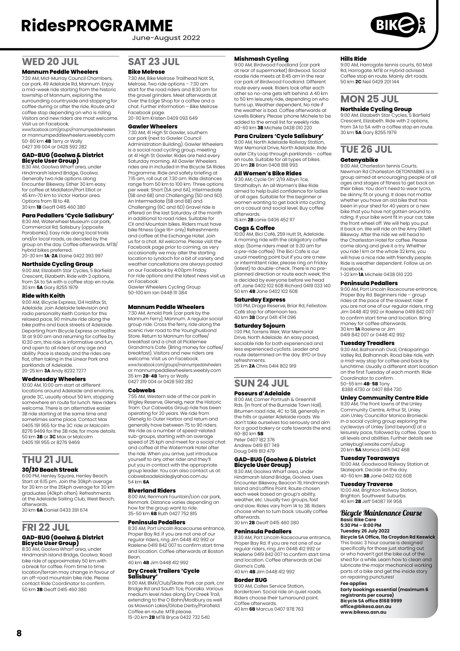June-August 2022

### **WED 20 JUL**

#### **Mannum Peddle Wheelers**

7:30 AM, Mid-Murray Council Chambers, car park, 49 Adelaide Rd, Mannum. Enjoy a mid-week ride starting from the historic township of Mannum, exploring the surrounding countryside and stopping for coffee during or after the ride. Route and coffee stop depending on who is riding. Visitors and new riders are most welcome. Visit us on Facebook.

www.facebook.com/groups/mannumpedalwheelers or mannumpeddlewheelers.weebly.com 50-80 km **4B** Terry or Wally 0427 319 004 or 0428 592 282

## **GAD-BUG (Goolwa & District Bicycle User Group)**

8:30 AM, Goolwa Wharf area, under Hindmarsh Island Bridge, Goolwa. Generally two ride options along Encounter Bikeway. Either 30 km easy for coffee at Middleton/Port Elliot or 45 km-70 km to Victor Harbor area. Options from 1B to 4B. 30 km **1B** Geoff 0415 460 380

#### **Para Pedallers 'Cycle Salisbury'**

8:30 AM, Waterwheel Museum car park, Commercial Rd, Salisbury (opposite Parabanks). Easy ride along local trails and/or local roads, as decided by the group on the day. Coffee afterwards. MTB/ hybrid bikes preferred. 20-30 km **1A**-**2A** Elaine 0422 393 997

### **Northside Cycling Group**

9:00 AM, Elizabeth Star Cycles, 5 Barfield Crescent, Elizabeth. Ride with 2 options, from 3A to 5A with a coffee stop en route. 30 km **5A** Gary 8255 1979

#### **Ride with Keith**

9:00 AM, Bicycle Express, 124 Halifax St, Adelaide. Join Adelaide television and radio personality Keith Conlon for this relaxed pace, 90 minute ride along the bike paths and back streets of Adelaide. Departing from Bicycle Express on Halifax St at 9:00 am and returning for coffee by 10:30 am, this ride is informative and fun, and open to all riders of any age and ability. Pace is steady and the rides are flat, often taking in the Linear Park and parklands of Adelaide. 20-25 km **3A** Andy 8232 7277

**Wednesday Wheelers**

10:00 AM, 10:00 am start at different locations around Adelaide and environs, grade 3C, usually about 50 km, stopping somewhere en route for lunch. New riders welcome. There is an alternative easier 3B ride starting at the same time and sometimes same place. Contact Max 0405 191 955 for the 3C ride or Malcolm 8276 9469 for the 3B ride, for more details. 50 km **3B** or **3C** Max or Malcolm 0405 191 955 or 8276 9469

### **THU 21 JUL 30/30 Beach Streak**

6:00 PM, Henley Square, Henley Beach. Start at 6:15 pm. Join the 30kph average for 30 km or the 35kph average for 30 km graduates (40kph often). Refreshments at the Adelaide Sailing Club, West Beach, afterwards. 30 km **6A** Daniel 0433 391 674

### **FRI 22 JUL GAD-BUG (Goolwa & District Bicycle User Group)** 8:30 AM, Goolwa Wharf area, under

Hindmarsh Island Bridge, Goolwa. Road bike ride of approximately 50 km with a break for coffee. From time to time location/terrain may change in favour of an off-road mountain bike ride. Please contact Ride Coordinator to confirm. 50 km **3B** Geoff 0415 460 380

### **SAT 23 JUL**

#### **Bike Melrose**

7:30 AM, Bike Melrose Trailhead Nott St, Melrose. Two ride options – 7:30 am start for the road riders and 8:30 am for the gravel grinders. Meet afterwards at Over the Edge Shop for a coffee and a chat. Further information – Bike Melrose Facebook page. 20-110 km Kristen 0409 093 649

#### **Gawler Wheelers**

7:30 AM, 41 High St Gawler, southern car park (next to Gawler Council Administration Building). Gawler Wheelers is a social road cycling group, meeting at 41 High St Gawler. Rides are held every Saturday morning. All Gawler Wheelers rides are in included in the Bicycle SA Rides Programme. Ride and safety briefing at 7:15 am, roll out at 7.30 am. Ride distances range from 50 km to 100 km. Three options per week: Short (5A and 6A), Intermediate (5B and 6B) and Challenging (5D and 6D). An Intermediate (5B and 6B) and Challenging (6C and 6D) Gravel ride is offered on the last Saturday of the month in additional to road rides. Suitable for CX and Mountain bikes. Riders must have bike fitness (age 16+ only) Refreshments and coffee at the Exchange Hotel. Join us for a chat. All welcome. Please visit the Facebook page prior to coming, as very occasionally we may alter the starting location to Lyndoch for a bit of variety and weather cancellations are always posted on our Facebook by 4:00pm Friday. For ride options and the latest news visit us on Facebook: Gawler Wheelers Cycling Group 50-100 km Ian 0448 111 384

#### **Mannum Peddle Wheelers**

7:30 AM, Arnold Park (car park by the Mannum Ferry), Mannum. A regular social group ride. Cross the ferry, ride along the scenic river road to the Younghusband Store. Return to Mannum for coffee/ breakfast and a chat at Picklemee Grandma's Cafe. (Bring money for coffee/ breakfast). Visitors and new riders are welcome. Visit us on Facebook. www.facebook.com/groups/mannumpedalwheelers or mannumpeddlewheelers.weebly.com 35 km **2B**-**4B** Terry or Wally 0427 319 004 or 0428 592 282

#### **Cobwebs**

7:55 AM, Western side of the car park in Wigley Reserve, Glenelg, near the Historic Tram. Our Cobwebs Group ride has been operating for 20 years. We ride from Glenelg to Outer Harbor and return and generally have between 75 to 90 riders. We ride as a number of speed-related sub-groups, starting with an average speed of 25 kph and meet for a social chat and coffee at the Watermark Hotel after the ride. When you arrive, just introduce yourself to any other rider and they'll put you in contact with the appropriate group leader. You can also contact us at: cobwebsadelaide@yahoo.com.au 54 km **6A**

#### **Riverland Riders**

8:00 AM, Renmark Fountain/Lion car park, Renmark. Distance varies depending on how far the group want to ride. 35-50 km **6B** Ruth 0427 752 815

#### **Peninsula Pedallers**

8:30 AM, Port Lincoln Racecourse entrance Proper Bay Rd. If you are not one of our regular riders, ring Jim 0448 412 992 or Raelene 0419 842 007 to confirm start time and location. Coffee afterwards at Boston Bean.

40 km **4B** Jim 0448 412 992

## **Dry Creek Trailers 'Cycle**

**Salisbury'** 9:00 AM, BMX/Club/Skate Park car park, cnr Bridge Rd and South Tce, Pooraka. Various medium level rides along Dry Creek Trail, extending to the O Bahn/Modbury as well as Mawson Lakes/Globe Derby/Parafield. Coffee en route. MTB please. 15-20 km **2B** MTB Bryce 0432 732 540

#### **Mishmash Cycling**

9:00 AM, Birdwood Foodland (car park at rear of supermarket) Birdwood. Social roadie ride meets at 8:45 am in the rear car park of Birdwood Foodland. Different route every week. Riders look after each other so no-one gets left behind. A 40 km to 50 km leisurely ride, depending on who turns up. Weather dependent. No ride if the weather is bad. Coffee afterwards at Lovells Bakery. Please 'phone Michele to be added to the email list for weekly ride. 40-60 km **3B** Michele 0438 010 220

### **Para Cruizers 'Cycle Salisbury'**<br>9:00 AM North Adelaide Pailway Station

9:00 AM, North Adelaide Railway Station, War Memorial Drive, North Adelaide. Ride outer City Loop through parklands – coffee en route. Suitable for all types of bikes. 20 km **2B** Brian 0408 818 993

#### **All Women's Bike Rides**

9:30 AM, Cycle On' 2/19 Albyn Tce Strathalbyn. An all Women's Bike Ride aimed to help build confidence for ladies of all ages. Suitable for the beginner or women wanting to get back into cycling on a casual and social level. Buy coffee afterwards.

15 km **2B** Lanie 0406 452 117

#### **Cogs & Coffee**

10:00 AM, Bici Café, 259 Hutt St, Adelaide. A morning ride with the obligatory coffee stop. (Some riders meet at 9.30 am for a pre-ride coffee). The Bici Cafe is our usual meeting point but if you are a new or intermittent rider, please ring on Friday (latest) to double-check. There is no preplanned direction or route each week; this is decided by everyone before we head off. Jane 0402 102 608 Richard 0419 033 140 50 km **4B** Jane 0402 102 608

#### **Saturday Express**

1:00 PM, Drage Reserve, Briar Rd, Felixstow. Café stop for afternoon tea. 40 km **3B** Daryl 0411 474 096

#### **Saturday Sojourn**

1:00 PM, Torrens Weir, War Memorial Drive, North Adelaide. An easy paced, sociable ride for both experienced and less experienced cyclists. Leader and route determined on the day. BYO or buy refreshments. 25 km **2A** Chris 0414 802 919

### **SUN 24 JUL**

### **Poseurs d'Adelaide**

8:00 AM, Corner Portrush & Greenhill Rds. (in front of the Burnside Town Hall).<br>Bitumen road ride, 4C to 5B, generally in the hills or quieter Adelaide roads. We don't take ourselves too seriously and aim for a good bakery or cafe towards the end. 60-80 km **5B** Peter 0407 182 376 Andrew 0419 817 749 Doug 0419 813 479

# **GAD-BUG (Goolwa & District Bicycle User Group)** 8:30 AM, Goolwa Wharf area, under

Hindmarsh Island Bridge, Goolwa. Uses Encounter Bikeway, Beacon 19, Hindmarsh Island and Laffins Point. Route chosen each week based on group's ability, weather, etc. Usually two groups, fast and slow. Rides vary from 1A to 3B. Riders choose when to turn back. Usually coffee afterwards.

30 km **2B** Geoff 0415 460 380

#### **Peninsula Pedallers**

8:30 AM, Port Lincoln Racecourse entrance, Proper Bay Rd. If you are not one of our regular riders, ring Jim 0448 412 992 or Raelene 0419 842 007 to confirm start time and location. Coffee afterwards at Del Giorno's Café. 40 km **4B** Jim 0448 412 992

#### **Border BUG**

9:00 AM, Caltex Service Station, Bordertown. Social ride on quiet roads. Riders choose their turnaround point. Coffee afterwards.

40 km **6B** Marcus 0407 978 763

#### **Hills Ride**

9:00 AM, Harrogate tennis courts, 60 Mail Rd, Harrogate. MTB or Hybrid advised. Coffee stop en route. Mainly dirt roads. 50 km **2C** Neil 0429 201 144

## **MON 25 JUL**

**Northside Cycling Group** 9:00 AM, Elizabeth Star Cycles, 5 Barfield Crescent, Elizabeth. Ride with 2 options, from 3A to 5A with a coffee stop en route. 30 km **5A** Gary 8255 1979

### **TUE 26 JUL**

#### **Getonyabike**

9:00 AM, Charleston tennis Courts. Newman Rd Charleston GETONYABIKE is a group aimed at encouraging people of all ages and stages of fitness to get back on their bikes. You don't need to wear lycra, be skinny, fit or young. It does not matter whether you have an old bike that has been in your shed for 40 years or a new bike that you have not gotten around to riding. If your bike wont fit in your car, take the front wheel off. We will help you put it back on. We will ride on the Amy Gillett Bikeway. After the ride we will head to the Charleston Hotel for coffee. Please come along and give it a try. Whether you ride 1 km or the whole 32 kms, you will have a nice ride with friendly people. Ride is weather dependent. Follow us on Facebook. 1-32 km **1A** Michele 0438 010 220

#### **Peninsula Pedallers**

9:00 AM, Port Lincoln Racecourse entrance, Proper Bay Rd. Beginners ride – group rides at the pace of the slowest rider. If you are not one of our regular riders, ring Jim 0448 412 992 or Raelene 0419 842 007 to confirm start time and location. Bring money for coffee afterwards. 30 km **1A** Raelene or Jim 0419 842 007 or 0448 412 992

#### **Tuesday Treadlers**

9:30 AM, Balhannah Oval, Onkaparinga Valley Rd, Balhannah. Road bike ride, with a mid-way stop for coffee and back by lunchtime. Usually a different start location on the first Tuesday of each month. Ride Coordinator to confirm. 50-55 km **4B**-**5B** Tony 8388 4730 or 0407 884 730

#### **Unley Community Centre Ride**

9:30 AM, The front lawns of the Unley Community Centre, Arthur St, Unley. Join Unley Councillor Monica Broniecki in a social cycling group exploring the cycleways of Unley (and beyond) at a leisurely pace, followed by coffee. Open to all levels and abilities. Further details see unleybug1.wixsite.com/ubug 20 km **5A** Monica 0415 042 468

**Tuesday Tearaways**<br>10:00 AM, Goodwood Railway Station at<br>Skatepark. Decide on the day. 40-50 km **3B** Jane 0402 102 608

#### **Tuesday Traverse**

10:00 AM, Brighton Railway Station, Brighton. Southwest Suburbs. 40 km **2B** Jeff 04087 191 958

### Bicycle Maintenance Course **Basic Bike Care 5:30 PM – 8:00 PM**

**Tuesday 26 July 2022 Bicycle SA Office, 11a Croydon Rd Keswick** This basic 3 hour course is designed specifically for those just starting out or who haven't got the bike out of the shed for a while. Learn how to clean and lubricate the major mechanical working parts of a bike and get the inside story on repairing punctures!

#### **Fee applies**

**Early bookings essential (maximum 6 registrants per course) Bicycle SA office 8168 9999 office@bikesa.asn.au www.bikesa.asn.au**

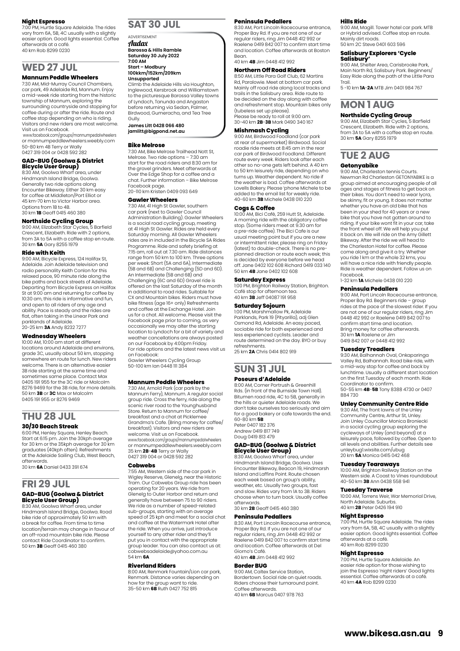#### **Night Espresso**

7:00 PM, Hurtle Square Adelaide. The rides vary from 6A, 5B, 4C usually with a slightly easier option. Good lights essential. Coffee afterwards at a café. 40 km Rob 8299 0230

### **WED 27 JUL**

#### **Mannum Peddle Wheelers**

7:30 AM, Mid-Murray Council Chambers, car park, 49 Adelaide Rd, Mannum. Enjoy a mid-week ride starting from the historic township of Mannum, exploring the surrounding countryside and stopping for coffee during or after the ride. Route and coffee stop depending on who is riding. Visitors and new riders are most welcome.

Visit us on Facebook. www.facebook.com/groups/mannumpedalwheelers or mannumpeddlewheelers.weebly.com 50-80 km 4B Terry or Wally 0427 319 004 or 0428 592 282

#### **GAD-BUG (Goolwa & District Bicycle User Group)**

8:30 AM, Goolwa Wharf area, under Hindmarsh Island Bridge, Goolwa. Generally two ride options along Encounter Bikeway. Either 30 km easy for coffee at Middleton/Port Elliot or 45 km-70 km to Victor Harbor area. Options from 1B to 4B. 30 km **1B** Geoff 0415 460 380

**Northside Cycling Group**

9:00 AM, Elizabeth Star Cycles, 5 Barfield Crescent, Elizabeth. Ride with 2 options, from 3A to 5A with a coffee stop en route. 30 km **5A** Gary 8255 1979

#### **Ride with Keith**

9:00 AM, Bicycle Express, 124 Halifax St, Adelaide. Join Adelaide television and radio personality Keith Conlon for this relaxed pace, 90 minute ride along the bike paths and back streets of Adelaide. Departing from Bicycle Express on Halifax St at 9:00 am and returning for coffee by 10:30 am, this ride is informative and fun, and open to all riders of any age and ability. Pace is steady and the rides are flat, often taking in the Linear Park and parklands of Adelaide. 20-25 km **3A** Andy 8232 7277

#### **Wednesday Wheelers**

10:00 AM, 10:00 am start at different locations around Adelaide and environs, grade 3C, usually about 50 km, stopping somewhere en route for lunch. New riders welcome. There is an alternative easier 3B ride starting at the same time and sometimes same place. Contact Max 0405 191 955 for the 3C ride or Malcolm 8276 9469 for the 3B ride, for more details. 50 km **3B** or **3C** Max or Malcolm 0405 191 955 or 8276 9469

### **THU 28 JUL**

### **30/30 Beach Streak**

6:00 PM, Henley Square, Henley Beach. Start at 6:15 pm. Join the 30kph average for 30 km or the 35kph average for 30 km graduates (40kph often). Refreshments at the Adelaide Sailing Club, West Beach, afterwards.

30 km **6A** Daniel 0433 391 674

### **FRI 29 JUL GAD-BUG (Goolwa & District Bicycle User Group)**

8:30 AM, Goolwa Wharf area, under Hindmarsh Island Bridge, Goolwa. Road bike ride of approximately 50 km with a break for coffee. From time to time location/terrain may change in favour of an off-road mountain bike ride. Please contact Ride Coordinator to confirm. 50 km **3B** Geoff 0415 460 380

### **SAT 30 JUL**

ADVERTISEMENT Audax **Barossa & Hills Ramble Saturday 30 July 2022**

#### **7:00 AM Start – Modbury 100kkm/152km/209km**

**Unsupported**

Climb the Adelaide Hills via Houghton, Inglewood, Kersbrook and Williamstown to the picturesque Barossa Valley towns of Lyndoch, Tanunda and Angaston before returning via Sedan, Palmer, Birdwood, Gumeracha, and Tea Tree Gully.

#### **James Litt 0428 066 480 jamlitt@bigpond.net.au**

#### **Bike Melrose**

7:30 AM, Bike Melrose Trailhead Nott St, Melrose. Two ride options – 7:30 am start for the road riders and 8:30 am for the gravel grinders. Meet afterwards at Over the Edge Shop for a coffee and a chat. Further information – Bike Melrose Facebook page. 20-110 km Kristen 0409 093 649

#### **Gawler Wheelers**

7:30 AM, 41 High St Gawler, southern car park (next to Gawler Council Administration Building). Gawler Wheelers is a social road cycling group, meeting at 41 High St Gawler. Rides are held every Saturday morning. All Gawler Wheelers rides are in included in the Bicycle SA Rides Programme. Ride and safety briefing at 7:15 am, roll out at 7.30 am. Ride distances range from 50 km to 100 km. Three options per week: Short (5A and 6A), Intermediate (5B and 6B) and Challenging (5D and 6D). An Intermediate (5B and 6B) and Challenging (6C and 6D) Gravel ride is offered on the last Saturday of the month in additional to road rides. Suitable for CX and Mountain bikes. Riders must have bike fitness (age 16+ only) Refreshments and coffee at the Exchange Hotel. Join us for a chat. All welcome. Please visit the Facebook page prior to coming, as very occasionally we may alter the starting location to Lyndoch for a bit of variety and weather cancellations are always posted on our Facebook by 4:00pm Friday. For ride options and the latest news visit us on Facebook: Gawler Wheelers Cycling Group

50-100 km Ian 0448 111 384

#### **Mannum Peddle Wheelers**

7:30 AM, Arnold Park (car park by the Mannum Ferry), Mannum. A regular social group ride. Cross the ferry, ride along the scenic river road to the Younghusband Store. Return to Mannum for coffee/ breakfast and a chat at Picklemee Grandma's Cafe. (Bring money for coffee/ breakfast). Visitors and new riders are welcome. Visit us on Facebook. www.facebook.com/groups/mannumpedalwheelers or mannumpeddlewheelers.weebly.com 35 km **2B**-**4B** Terry or Wally 0427 319 004 or 0428 592 282

#### **Cobwebs**

7:55 AM, Western side of the car park in Wigley Reserve, Glenelg, near the Historic Tram. Our Cobwebs Group ride has been operating for 20 years. We ride from Glenelg to Outer Harbor and return and generally have between 75 to 90 riders. We ride as a number of speed-related sub-groups, starting with an average speed of 25 kph and meet for a social chat and coffee at the Watermark Hotel after the ride. When you arrive, just introduce yourself to any other rider and they'll put you in contact with the appropriate group leader. You can also contact us at: cobwebsadelaide@yahoo.com.au 54 km **6A**

#### **Riverland Riders**

8:00 AM, Renmark Fountain/Lion car park, Renmark. Distance varies depending on how far the group want to ride. 35-50 km **6B** Ruth 0427 752 815

#### **Peninsula Pedallers**

8:30 AM, Port Lincoln Racecourse entrance Proper Bay Rd. If you are not one of our regular riders, ring Jim 0448 412 992 or Raelene 0419 842 007 to confirm start time and location. Coffee afterwards at Boston Bean. 40 km **4B** Jim 0448 412 992

**Northern Off Road Riders** 

#### 8:50 AM, Little Para Golf Club, 62 Martins

Rd, Paralowie. Meet at bottom car park. Mainly off road ride along local tracks and trails in the Salisbury area. Ride route to be decided on the day along with coffee and refreshment stop. Mountain bikes only (tubeless set up please). Please be ready to roll at 9:00 am.

30-40 km **2B**-**3B** Mark 0490 340 167

### **Mishmash Cycling**

9:00 AM, Birdwood Foodland (car park at rear of supermarket) Birdwood. Social roadie ride meets at 8:45 am in the rear car park of Birdwood Foodland. Different route every week. Riders look after each other so no-one gets left behind. A 40 km to 50 km leisurely ride, depending on who turns up. Weather dependent. No ride if the weather is bad. Coffee afterwards at Lovells Bakery. Please 'phone Michele to be added to the email list for weekly ride. 40-60 km **3B** Michele 0438 010 220

#### **Cogs & Coffee**

10:00 AM, Bici Café, 259 Hutt St, Adelaide. A morning ride with the obligatory coffee stop. (Some riders meet at 9.30 am for a pre-ride coffee). The Bici Cafe is our usual meeting point but if you are a new or intermittent rider, please ring on Friday (latest) to double-check. There is no pre-planned direction or route each week; this is decided by everyone before we head off. Jane 0402 102 608 Richard 0419 033 140 50 km **4B** Jane 0402 102 608

#### **Saturday Express**

1:00 PM, Brighton Railway Station, Brighton. Café stop for afternoon tea. 40 km **3B** Jeff 04087 191 958

#### **Saturday Sojourn**

1:00 PM, Marshmallow Pk, Adelaide Parklands, Park 19 (Pityarilla), adj Glen Osmond Rd, Adelaide. An easy paced, sociable ride for both experienced and less experienced cyclists. Leader and route determined on the day. BYO or buy refreshments. 25 km **2A** Chris 0414 802 919

## **SUN 31 JUL**

#### **Poseurs d'Adelaide**

8:00 AM, Corner Portrush & Greenhill Rds. (in front of the Burnside Town Hall). Bitumen road ride, 4C to 5B, generally in the hills or quieter Adelaide roads. We don't take ourselves too seriously and aim for a good bakery or cafe towards the end. 60-80 km **5B** Peter 0407 182 376 Andrew 0419 817 749 Doug 0419 813 479

## **GAD-BUG (Goolwa & District Bicycle User Group)**

8:30 AM, Goolwa Wharf area, under Hindmarsh Island Bridge, Goolwa. Uses Encounter Bikeway, Beacon 19, Hindmarsh Island and Laffins Point. Route chosen each week based on group's ability, weather, etc. Usually two groups, fast and slow. Rides vary from 1A to 3B. Riders choose when to turn back. Usually coffee afterwards. 30 km **2B** Geoff 0415 460 380

#### **Peninsula Pedallers**

8:30 AM, Port Lincoln Racecourse entrance, Proper Bay Rd. If you are not one of our regular riders, ring Jim 0448 412 992 or Raelene 0419 842 007 to confirm start time and location. Coffee afterwards at Del Giorno's Café. 40 km **4B** Jim 0448 412 992

#### **Border BUG**

9:00 AM, Caltex Service Station, Bordertown. Social ride on quiet roads. Riders choose their turnaround point. Coffee afterwards. 40 km **6B** Marcus 0407 978 763

#### **Hills Ride**

9:00 AM, Magill. Tower hotel car park. MTB or Hybrid advised. Coffee stop en route. Mainly dirt roads. 50 km 2C Steve 0401 603 596

**Salisbury Explorers 'Cycle** 

#### **Salisbury'** 9:00 AM, Shelter Area, Carisbrooke Park, Main North Rd, Salisbury Park. Beginners/ Easy Ride along the path of the Little Para

Trail. 5 -10 km **1A**-**2A** MTB Jim 0401 984 767

### **MON 1 AUG Northside Cycling Group**

9:00 AM, Elizabeth Star Cycles, 5 Barfield Crescent, Elizabeth. Ride with 2 options, from 3A to 5A with a coffee stop en route. 30 km **5A** Gary 8255 1979

### **TUE 2 AUG**

#### **Getonyabike**

9:00 AM, Charleston tennis Courts. Newman Rd Charleston GETONYABIKE is a group aimed at encouraging people of all ages and stages of fitness to get back on their bikes. You don't need to wear lycra, be skinny, fit or young. It does not matter whether you have an old bike that has been in your shed for 40 years or a new bike that you have not gotten around to riding. If your bike wont fit in your car, take the front wheel off. We will help you put it back on. We will ride on the Amy Gillett Bikeway. After the ride we will head to the Charleston Hotel for coffee. Please come along and give it a try. Whether you ride 1 km or the whole 32 kms, you will have a nice ride with friendly people. Ride is weather dependent. Follow us on Facebook.

1-32 km **1A** Michele 0438 010 220

#### **Peninsula Pedallers**

9:00 AM, Port Lincoln Racecourse entrance, Proper Bay Rd. Beginners ride – group rides at the pace of the slowest rider. If you are not one of our regular riders, ring Jim 0448 412 992 or Raelene 0419 842 007 to confirm start time and location. Bring money for coffee afterwards. 30 km **1A** Raelene or Jim 0419 842 007 or 0448 412 992

#### **Tuesday Treadlers**

9:30 AM, Balhannah Oval, Onkaparinga Valley Rd, Balhannah. Road bike ride, with a mid-way stop for coffee and back by lunchtime. Usually a different start location on the first Tuesday of each month. Ride Coordinator to confirm.

50-55 km **4B**-**5B** Tony 8388 4730 or 0407 884 730

#### **Unley Community Centre Ride**

9:30 AM, The front lawns of the Unley Community Centre, Arthur St, Unley. Join Unley Councillor Monica Broniecki in a social cycling group exploring the cycleways of Unley (and beyond) at a leisurely pace, followed by coffee. Open to all levels and abilities. Further details see unleybug1.wixsite.com/ubug 20 km **5A** Monica 0415 042 468

#### **Tuesday Tearaways**

10:00 AM, Brighton Railway Station on the Western side. A Coast to Vines roundabout 40-50 km **3B** Ann 0438 558 941

#### **Tuesday Traverse**

10:00 AM, Torrens Weir, War Memorial Drive, North Adelaide. Suburbs. 40 km **2B** Peter 0426 194 910

#### **Night Espresso**

7:00 PM, Hurtle Square Adelaide. The rides vary from 6A, 5B, 4C usually with a slightly easier option. Good lights essential. Coffee afterwards at a café. 40 km Rob 8299 0230

#### **Night Espresso**

7:00 PM, Hurtle Square Adelaide. An easier ride option for those wishing to join the Espresso 'night riders' Good lights essential. Coffee afterwards at a café. 40 km **4A** Rob 8299 0230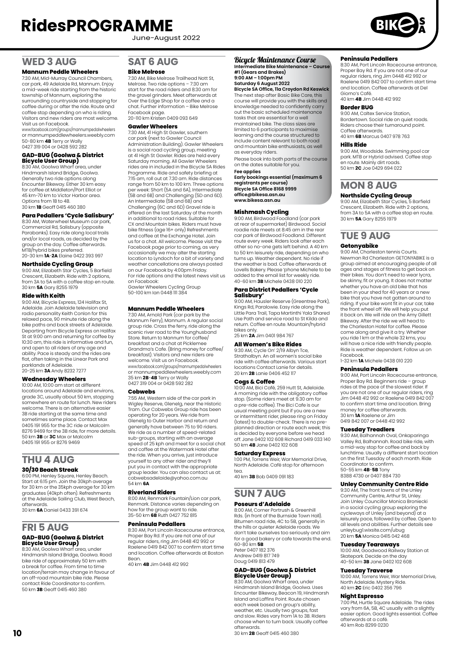June-August 2022

### **WED 3 AUG**

#### **Mannum Peddle Wheelers**

7:30 AM, Mid-Murray Council Chambers, car park, 49 Adelaide Rd, Mannum. Enjoy a mid-week ride starting from the historic township of Mannum, exploring the surrounding countryside and stopping for coffee during or after the ride. Route and coffee stop depending on who is riding. Visitors and new riders are most welcome. Visit us on Facebook.

www.facebook.com/groups/mannumpedalwheelers or mannumpeddlewheelers.weebly.com 50-80 km **4B** Terry or Wally 0427 319 004 or 0428 592 282

## **GAD-BUG (Goolwa & District Bicycle User Group)**

8:30 AM, Goolwa Wharf area, under Hindmarsh Island Bridge, Goolwa. Generally two ride options along Encounter Bikeway. Either 30 km easy for coffee at Middleton/Port Elliot or 45 km-70 km to Victor Harbor area. Options from 1B to 4B. 30 km **1B** Geoff 0415 460 380

**Para Pedallers 'Cycle Salisbury'**

8:30 AM, Waterwheel Museum car park, Commercial Rd, Salisbury (opposite Parabanks). Easy ride along local trails and/or local roads, as decided by the group on the day. Coffee afterwards. MTB/hybrid bikes preferred. 20-30 km **1A**-**2A** Elaine 0422 393 997

### **Northside Cycling Group**

9:00 AM, Elizabeth Star Cycles, 5 Barfield Crescent, Elizabeth. Ride with 2 options, from 3A to 5A with a coffee stop en route. 30 km **5A** Gary 8255 1979

#### **Ride with Keith**

9:00 AM, Bicycle Express, 124 Halifax St, Adelaide. Join Adelaide television and radio personality Keith Conlon for this relaxed pace, 90 minute ride along the bike paths and back streets of Adelaide. Departing from Bicycle Express on Halifax St at 9:00 am and returning for coffee by 10:30 am, this ride is informative and fun, and open to all riders of any age and ability. Pace is steady and the rides are flat, often taking in the Linear Park and parklands of Adelaide. 20-25 km **3A** Andy 8232 7277

#### **Wednesday Wheelers**

10:00 AM, 10:00 am start at different locations around Adelaide and environs, grade 3C, usually about 50 km, stopping somewhere en route for lunch. New riders welcome. There is an alternative easier 3B ride starting at the same time and sometimes same place. Contact Max 0405 191 955 for the 3C ride or Malcolm 8276 9469 for the 3B ride, for more details. 50 km **3B** or **3C** Max or Malcolm 0405 191 955 or 8276 9469

#### **THU 4 AUG 30/30 Beach Streak**

#### 6:00 PM, Henley Square, Henley Beach.

Start at 6:15 pm. Join the 30kph average for 30 km or the 35kph average for 30 km graduates (40kph often). Refreshments at the Adelaide Sailing Club, West Beach, afterwards. 30 km **6A** Daniel 0433 391 674

### **FRI 5 AUG GAD-BUG (Goolwa & District Bicycle User Group)** 8:30 AM, Goolwa Wharf area, under

Hindmarsh Island Bridge, Goolwa. Road bike ride of approximately 50 km with a break for coffee. From time to time location/terrain may change in favour of an off-road mountain bike ride. Please contact Ride Coordinator to confirm. 50 km **3B** Geoff 0415 460 380

## **SAT 6 AUG**

#### **Bike Melrose**

7:30 AM, Bike Melrose Trailhead Nott St, Melrose. Two ride options – 7:30 am start for the road riders and 8:30 am for the gravel grinders. Meet afterwards at Over the Edge Shop for a coffee and a chat. Further information – Bike Melrose Facebook page. 20-110 km Kristen 0409 093 649

#### **Gawler Wheelers**

7:30 AM, 41 High St Gawler, southern car park (next to Gawler Council Administration Building). Gawler Wheelers is a social road cycling group, meeting at 41 High St Gawler. Rides are held every Saturday morning. All Gawler Wheelers rides are in included in the Bicycle SA Rides Programme. Ride and safety briefing at 7:15 am, roll out at 7.30 am. Ride distances range from 50 km to 100 km. Three options per week: Short (5A and 6A), Intermediate (5B and 6B) and Challenging (5D and 6D). An Intermediate (5B and 6B) and Challenging (6C and 6D) Gravel ride is offered on the last Saturday of the month in additional to road rides. Suitable for CX and Mountain bikes. Riders must have bike fitness (age 16+ only) Refreshments and coffee at the Exchange Hotel. Join us for a chat. All welcome. Please visit the Facebook page prior to coming, as very occasionally we may alter the starting location to Lyndoch for a bit of variety and weather cancellations are always posted on our Facebook by 4:00pm Friday. For ride options and the latest news visit us on Facebook: Gawler Wheelers Cycling Group 50-100 km Ian 0448 111 384

#### **Mannum Peddle Wheelers**

7:30 AM, Arnold Park (car park by the Mannum Ferry), Mannum. A regular social group ride. Cross the ferry, ride along the scenic river road to the Younghusband Store. Return to Mannum for coffee/ breakfast and a chat at Picklemee Grandma's Cafe. (Bring money for coffee/ breakfast). Visitors and new riders are welcome. Visit us on Facebook. www.facebook.com/groups/mannumpedalwheelers or mannumpeddlewheelers.weebly.com 35 km **2B**-**4B** Terry or Wally 0427 319 004 or 0428 592 282

#### **Cobwebs**

7:55 AM, Western side of the car park in Wigley Reserve, Glenelg, near the Historic Tram. Our Cobwebs Group ride has been operating for 20 years. We ride from Glenelg to Outer Harbor and return and generally have between 75 to 90 riders. We ride as a number of speed-related sub-groups, starting with an average speed of 25 kph and meet for a social chat and coffee at the Watermark Hotel after the ride. When you arrive, just introduce yourself to any other rider and they'll put you in contact with the appropriate group leader. You can also contact us at: cobwebsadelaide@yahoo.com.au 54 km **6A**

#### **Riverland Riders**

8:00 AM, Renmark Fountain/Lion car park, Renmark. Distance varies depending on how far the group want to ride. 35-50 km **6B** Ruth 0427 752 815

#### **Peninsula Pedallers**

8:30 AM, Port Lincoln Racecourse entrance, Proper Bay Rd. If you are not one of our regular riders, ring Jim 0448 412 992 or Raelene 0419 842 007 to confirm start time and location. Coffee afterwards at Boston Bean.

40 km **4B** Jim 0448 412 992

#### Bicycle Maintenance Course

#### **Intermediate Bike Maintenance – Course #1 (Gears and Brakes) 9:00 AM – 1:00pm PM**

**Saturday 6 August 2022 Bicycle SA Office, 11a Croydon Rd Keswick**

The next step after Basic Bike Care, this course will provide you with the skills and knowledge needed to confidently carry out the basic scheduled maintenance tasks that are essential for a well maintained bike. The class sizes are limited to 6 participants to maximise learning and the course structured to include content relevant to both road and mountain bike enthusiasts, as well as everyday riders.

Please book into both parts of the course on the dates suitable for you.

#### **Fee applies Early bookings essential (maximum 6 registrants per course) Bicycle SA Office 8168 9999 [office@bikesa.asn.au](mailto:office@bikesa.asn.au) www.bikesa.asn.au**

**Mishmash Cycling** 9:00 AM, Birdwood Foodland (car park at rear of supermarket) Birdwood. Social roadie ride meets at 8:45 am in the rear car park of Birdwood Foodland. Different route every week. Riders look after each other so no-one gets left behind. A 40 km to 50 km leisurely ride, depending on who turns up. Weather dependent. No ride if the weather is bad. Coffee afterwards at Lovells Bakery. Please 'phone Michele to be added to the email list for weekly ride. 40-60 km **3B** Michele 0438 010 220

#### **Para District Pedallers 'Cycle Salisbury'**

9:00 AM, Hausler Reserve (Greentree Park), Kings Rd, Paralowie. Easy ride along the Little Para Trail, Tapa Martinthi Yala Shared Use Path and service road to St Kilda and return. Coffee en route. Mountain/hybrid bikes only. 25 km **2A** Jim 0401 984 767

**All Women's Bike Rides** 9:30 AM, Cycle On' 2/19 Albyn Tce, Strathalbyn. An all women's social bike ride with coffee afterwards. Various start locations Contact Lanie for details. 20 km **2B** Lanie 0406 452 117

#### **Cogs & Coffee**

10:00 AM, Bici Café, 259 Hutt St, Adelaide. A morning ride with the obligatory coffee stop. (Some riders meet at 9.30 am for a pre-ride coffee). The Bici Cafe is our usual meeting point but if you are a new or intermittent rider, please ring on Friday (latest) to double-check. There is no preplanned direction or route each week; this is decided by everyone before we head off. Jane 0402 102 608 Richard 0419 033 140 50 km **4B** Jane 0402 102 608

#### **Saturday Express**

1:00 PM, Torrens Weir, War Memorial Drive, North Adelaide. Café stop for afternoon tea. 40 km **3B** Bob 0409 091 183

#### **SUN 7 AUG Poseurs d'Adelaide**

8:00 AM, Corner Portrush & Greenhill Rds. (in front of the Burnside Town Hall).<br>Bitumen road ride, 4C to 5B, generally in<br>the hills or quieter Adelaide roads. We don't take ourselves too seriously and aim for a good bakery or cafe towards the end. 60-80 km **5B** Peter 0407 182 376

Andrew 0419 817 749 Doug 0419 813 479

## **GAD-BUG (Goolwa & District Bicycle User Group)**

8:30 AM, Goolwa Wharf area, under Hindmarsh Island Bridge, Goolwa. Uses Encounter Bikeway, Beacon 19, Hindmarsh Island and Laffins Point. Route chosen each week based on group's ability, weather, etc. Usually two groups, fast and slow. Rides vary from 1A to 3B. Riders choose when to turn back. Usually coffee afterwards.

30 km **2B** Geoff 0415 460 380

#### **Peninsula Pedallers**

8:30 AM, Port Lincoln Racecourse entrance, Proper Bay Rd. If you are not one of our regular riders, ring Jim 0448 412 992 or Raelene 0419 842 007 to confirm start time and location. Coffee afterwards at Del Giorno's Café.

40 km **4B** Jim 0448 412 992

#### **Border BUG**

9:00 AM, Caltex Service Station, Bordertown. Social ride on quiet roads. Riders choose their turnaround point. Coffee afterwards. 40 km **6B** Marcus 0407 978 763

#### **Hills Ride**

9:00 AM, Woodside. Swimming pool car park. MTB or Hybrid advised. Coffee stop en route. Mainly dirt roads. 50 km **2C** Joe 0429 694 022

# **MON 8 AUG**

#### **Northside Cycling Group**

9:00 AM, Elizabeth Star Cycles, 5 Barfield Crescent, Elizabeth. Ride with 2 options, from 3A to 5A with a coffee stop en route. 30 km **5A** Gary 8255 1979

### **TUE 9 AUG**

#### **Getonyabike**

9:00 AM, Charleston tennis Courts. Newman Rd Charleston GETONYABIKE is a group aimed at encouraging people of all ages and stages of fitness to get back on their bikes. You don't need to wear lycra, be skinny, fit or young. It does not matter whether you have an old bike that has been in your shed for 40 years or a new bike that you have not gotten around to riding. If your bike wont fit in your car, take the front wheel off. We will help you put it back on. We will ride on the Amy Gillett Bikeway. After the ride we will head to the Charleston Hotel for coffee. Please come along and give it a try. Whether you ride 1 km or the whole 32 kms, you will have a nice ride with friendly people Ride is weather dependent. Follow us on Facebook.

1-32 km **1A** Michele 0438 010 220

#### **Peninsula Pedallers**

9:00 AM, Port Lincoln Racecourse entrance, Proper Bay Rd. Beginners ride – group rides at the pace of the slowest rider. If you are not one of our regular riders, ring Jim 0448 412 992 or Raelene 0419 842 007 to confirm start time and location. Bring money for coffee afterwards. 30 km **1A** Raelene or Jim 0419 842 007 or 0448 412 992

#### **Tuesday Treadlers**

9:30 AM, Balhannah Oval, Onkaparinga Valley Rd, Balhannah. Road bike ride, with a mid-way stop for coffee and back by lunchtime. Usually a different start location on the first Tuesday of each month. Ride Coordinator to confirm. 50-55 km **4B**-**5B** Tony 8388 4730 or 0407 884 730

#### **Unley Community Centre Ride**

9:30 AM, The front lawns of the Unley Community Centre, Arthur St, Unley. Join Unley Councillor Monica Broniecki in a social cycling group exploring the cycleways of Unley (and beyond) at a leisurely pace, followed by coffee. Open to all levels and abilities. Further details see unleybug1.wixsite.com/ubug 20 km **5A** Monica 0415 042 468

#### **Tuesday Tearaways**

10:00 AM, Goodwood Railway Station at Skatepark. Decide on the day 40-50 km **3B** Jane 0402 102 608

#### **Tuesday Traverse**

10:00 AM, Torrens Weir, War Memorial Drive, North Adelaide. Mystery Ride. 40 km **2C** Eric 0402 356 796

#### **Night Espresso**

7:00 PM, Hurtle Square Adelaide. The rides vary from 6A, 5B, 4C usually with a slightly easier option. Good lights essential. Coffee afterwards at a café. 40 km Rob 8299 0230

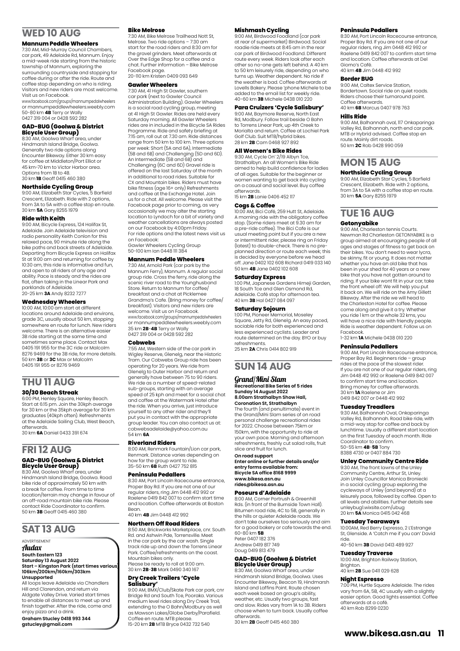### **WED 10 AUG**

#### **Mannum Peddle Wheelers**

7:30 AM, Mid-Murray Council Chambers, car park, 49 Adelaide Rd, Mannum. Enjoy a mid-week ride starting from the historic township of Mannum, exploring the surrounding countryside and stopping for coffee during or after the ride. Route and coffee stop depending on who is riding. Visitors and new riders are most welcome. Visit us on Facebook.

www.facebook.com/groups/mannumpedalwheelers or mannumpeddlewheelers.weebly.com 50-80 km **4B** Terry or Wally 0427 319 004 or 0428 592 282

## **GAD-BUG (Goolwa & District Bicycle User Group)**

8:30 AM, Goolwa Wharf area, under Hindmarsh Island Bridge, Goolwa. Generally two ride options along Encounter Bikeway. Either 30 km easy for coffee at Middleton/Port Elliot or 45 km-70 km to Victor Harbor area. Options from 1B to 4B. 30 km **1B** Geoff 0415 460 380

#### **Northside Cycling Group**

9:00 AM, Elizabeth Star Cycles, 5 Barfield Crescent, Elizabeth. Ride with 2 options, from 3A to 5A with a coffee stop en route. 30 km **5A** Gary 8255 1979

#### **Ride with Keith**

9:00 AM, Bicycle Express, 124 Halifax St, Adelaide. Join Adelaide television and radio personality Keith Conlon for this relaxed pace, 90 minute ride along the bike paths and back streets of Adelaide. Departing from Bicycle Express on Halifax St at 9:00 am and returning for coffee by 10:30 am, this ride is informative and fun, and open to all riders of any age and ability. Pace is steady and the rides are flat, often taking in the Linear Park and parklands of Adelaide. 20-25 km **3A** Andy 8232 7277

**Wednesday Wheelers**

10:00 AM, 10:00 am start at different locations around Adelaide and environs, grade 3C, usually about 50 km, stopping somewhere en route for lunch. New riders welcome. There is an alternative easier 3B ride starting at the same time and sometimes same place. Contact Max 0405 191 955 for the 3C ride or Malcolm 8276 9469 for the 3B ride, for more details. 50 km **3B** or **3C** Max or Malcolm 0405 191 955 or 8276 9469

# **THU 11 AUG**

## **30/30 Beach Streak**

6:00 PM, Henley Square, Henley Beach. Start at 6:15 pm. Join the 30kph average for 30 km or the 35kph average for 30 km graduates (40kph often). Refreshments at the Adelaide Sailing Club, West Beach, afterwards.

30 km **6A** Daniel 0433 391 674

#### **FRI 12 AUG GAD-BUG (Goolwa & District Bicycle User Group)**

8:30 AM, Goolwa Wharf area, under Hindmarsh Island Bridge, Goolwa. Road bike ride of approximately 50 km with a break for coffee. From time to time location/terrain may change in favour of an off-road mountain bike ride. Please contact Ride Coordinator to confirm. 50 km **3B** Geoff 0415 460 380

### **SAT 13 AUG**

#### **ADVERTISEMENT** Audax

#### **South Eastern 123 Saturday 13 August 2022 Start – Kingston Park (start times various) 106km/200km/160km/303km Unsupported**

All loops leave Adelaide via Chandlers Hill and Clarendon, and return via Aldgate Valley Drive. Varied start times to enable all distances to meet up and finish together. After the ride, come and enjoy pizza and a drink.

**Graham Stucley 0418 993 344 gstucley@gmail.com**

#### **Bike Melrose**

7:30 AM, Bike Melrose Trailhead Nott St, Melrose. Two ride options – 7:30 am start for the road riders and 8:30 am for the gravel grinders. Meet afterwards at Over the Edge Shop for a coffee and a chat. Further information – Bike Melrose Facebook page. 20-110 km Kristen 0409 093 649

#### **Gawler Wheelers**

7:30 AM, 41 High St Gawler, southern car park (next to Gawler Council Administration Building). Gawler Wheelers is a social road cycling group, meeting at 41 High St Gawler. Rides are held every Saturday morning. All Gawler Wheelers rides are in included in the Bicycle SA Rides Programme. Ride and safety briefing at 7:15 am, roll out at 7.30 am. Ride distances range from 50 km to 100 km. Three options per week: Short (5A and 6A), Intermediate (5B and 6B) and Challenging (5D and 6D). An Intermediate (5B and 6B) and Challenging (6C and 6D) Gravel ride is offered on the last Saturday of the month in additional to road rides. Suitable for CX and Mountain bikes. Riders must have bike fitness (age 16+ only) Refreshments and coffee at the Exchange Hotel. Join us for a chat. All welcome. Please visit the Facebook page prior to coming, as very occasionally we may alter the starting location to Lyndoch for a bit of variety and weather cancellations are always posted on our Facebook by 4:00pm Friday. For ride options and the latest news visit us on Facebook:

Gawler Wheelers Cycling Group 50-100 km Ian 0448 111 384

### **Mannum Peddle Wheelers**

7:30 AM, Arnold Park (car park by the Mannum Ferry), Mannum. A regular social group ride. Cross the ferry, ride along the scenic river road to the Younghusband Store. Return to Mannum for coffee/ breakfast and a chat at Picklemee Grandma's Cafe. (Bring money for coffee/ breakfast). Visitors and new riders are welcome. Visit us on Facebook. www.facebook.com/groups/mannumpedalwheelers or mannumpeddlewheelers.weebly.com 35 km **2B**-**4B** Terry or Wally 0427 319 004 or 0428 592 282

#### **Cobwebs**

7:55 AM, Western side of the car park in Wigley Reserve, Glenelg, near the Historic Tram. Our Cobwebs Group ride has been operating for 20 years. We ride from Glenelg to Outer Harbor and return and generally have between 75 to 90 riders. We ride as a number of speed-related sub-groups, starting with an average speed of 25 kph and meet for a social chat and coffee at the Watermark Hotel after the ride. When you arrive, just introduce yourself to any other rider and they'll put you in contact with the appropriate group leader. You can also contact us at: cobwebsadelaide@yahoo.com.au 54 km **6A**

#### **Riverland Riders**

8:00 AM, Renmark Fountain/Lion car park, Renmark. Distance varies depending on how far the group want to ride. 35-50 km **6B** Ruth 0427 752 815

### **Peninsula Pedallers**

8:30 AM, Port Lincoln Racecourse entrance, Proper Bay Rd. If you are not one of our regular riders, ring Jim 0448 412 992 or Raelene 0419 842 007 to confirm start time and location. Coffee afterwards at Boston **Bean** 40 km **4B** Jim 0448 412 992

#### **Northern Off Road Riders**

8:50 AM, Brickworks Marketplace, cnr. South Rd. and Ashwin Pde, Torrensville. Meet in the car park by the car wash. Single track ride up and down the Torrens Linear Park. Coffee/refreshments on the coast. Mountain bikes only. Please be ready to roll at 9:00 am.

30 km **2B**-**3B** Mark 0490 340 167

### **Dry Creek Trailers 'Cycle Salisbury'**

9:00 AM, BMX/Club/Skate Park car park, cnr Bridge Rd and South Tce, Pooraka. Various medium level rides along Dry Creek Trail, extending to the O Bahn/Modbury as well as Mawson Lakes/Globe Derby/Parafield. Coffee en route. MTB please.

15-20 km **2B** MTB Bryce 0432 732 540

#### **Mishmash Cycling**

9:00 AM, Birdwood Foodland (car park at rear of supermarket) Birdwood. Social roadie ride meets at 8:45 am in the rear car park of Birdwood Foodland. Different route every week. Riders look after each other so no-one gets left behind. A 40 km to 50 km leisurely ride, depending on who turns up. Weather dependent. No ride if the weather is bad. Coffee afterwards at Lovells Bakery. Please 'phone Michele to be added to the email list for weekly ride. 40-60 km **3B** Michele 0438 010 220

#### **Para Cruizers 'Cycle Salisbury'** 9:00 AM, Baymore Reserve, North East

Rd, Modbury. Follow trail beside O Bahn to Torrens Linear Park, up 4th Creek to Morialta and return. Coffee at Lochiel Park Golf Club. Suit MTB/hybrid bikes. 28 km **2B** Cam 0468 927 892

#### **All Women's Bike Rides**

9:30 AM, Cycle On' 2/19 Albyn Tce, Strathalbyn. An all Women's Bike Ride aimed to help build confidence for ladies of all ages. Suitable for the beginner or women wanting to get back into cycling on a casual and social level. Buy coffee afterwards. 15 km **2B** Lanie 0406 452 117

#### **Cogs & Coffee**

10:00 AM, Bici Café, 259 Hutt St, Adelaide. A morning ride with the obligatory coffee stop. (Some riders meet at 9.30 am for a pre-ride coffee). The Bici Cafe is our usual meeting point but if you are a new or intermittent rider, please ring on Friday (latest) to double-check. There is no preplanned direction or route each week; this is decided by everyone before we head off. Jane 0402 102 608 Richard 0419 033 140 50 km **4B** Jane 0402 102 608

**Saturday Express**<br>1:00 PM, Japanese Gardens Himeji Garden,<br>18 South Tce and Glen Osmond Rd, Adelaide. Café stop for afternoon tea. 40 km **3B** Hal 0427 084 097

#### **Saturday Sojourn**

1:00 PM, Pioneer Memorial, Moseley Square, Jetty Rd, Glenelg. An easy paced, sociable ride for both experienced and less experienced cyclists. Leader and route determined on the day. BYO or buy refreshments. 25 km **2A** Chris 0414 802 919

### **SUN 14 AUG**

### Grand/Mini Slam

**Recreational Bike Series of 5 rides Sunday 14 August 2022 8.00am Strathalbyn Show Hall, Coronation St, Strathalbyn**<br>The fourth (and penultimate) event in<br>the Grand/Mini Slam series of on road personal challenge recreational rides

for 2022. Choose between 75km or 150km, with the opportunity to ride at your own pace. Morning and afternoon refreshments, freshly cut salad rolls, fruit slice and fruit for lunch. **On road support**

**Enter online or further details and/or entry forms available from: Bicycle SA office 8168 9999 [www.bikesa.asn.au](http://www.bikesa.asn.au) rides@bikesa.asn.au**

#### **Poseurs d'Adelaide**

8:00 AM, Corner Portrush & Greenhill Rds. (in front of the Burnside Town Hall). Bitumen road ride, 4C to 5B, generally in the hills or quieter Adelaide roads. We don't take ourselves too seriously and aim for a good bakery or cafe towards the end. 60-80 km **5B** Peter 0407 182 376 Andrew 0419 817 749 Doug 0419 813 479

# **GAD-BUG (Goolwa & District Bicycle User Group)** 8:30 AM, Goolwa Wharf area, under

Hindmarsh Island Bridge, Goolwa. Uses Encounter Bikeway, Beacon 19, Hindmarsh Island and Laffins Point. Route chosen each week based on group's ability, weather, etc. Usually two groups, fast and slow. Rides vary from 1A to 3B. Riders choose when to turn back. Usually coffee afterwards. 30 km **2B** Geoff 0415 460 380

#### **Peninsula Pedallers**

8:30 AM, Port Lincoln Racecourse entrance, Proper Bay Rd. If you are not one of our regular riders, ring Jim 0448 412 992 or Raelene 0419 842 007 to confirm start time and location. Coffee afterwards at Del Giorno's Café. 40 km **4B** Jim 0448 412 992

#### **Border BUG**

9:00 AM, Caltex Service Station, Bordertown. Social ride on quiet roads. Riders choose their turnaround point. Coffee afterwards. 40 km **6B** Marcus 0407 978 763

#### **Hills Ride**

9:00 AM, Balhannah oval, 117 Onkaparinga Valley Rd, Balhannah, north end car park. MTB or Hybrid advised. Coffee stop en route. Mainly dirt roads. 50 km **2C** Rob 0428 990 059

## **MON 15 AUG**

**Northside Cycling Group** 9:00 AM, Elizabeth Star Cycles, 5 Barfield Crescent, Elizabeth. Ride with 2 options, from 3A to 5A with a coffee stop en route 30 km **5A** Gary 8255 1979

### **TUE 16 AUG**

### **Getonyabike**

9:00 AM, Charleston tennis Courts. Newman Rd Charleston GETONYABIKE is a group aimed at encouraging people of all ages and stages of fitness to get back on their bikes. You don't need to wear lycra, be skinny, fit or young. It does not matter whether you have an old bike that has been in your shed for 40 years or a new bike that you have not gotten around to riding. If your bike wont fit in your car, take the front wheel off. We will help you put it back on. We will ride on the Amy Gillett Bikeway. After the ride we will head to the Charleston Hotel for coffee. Please come along and give it a try. Whether you ride 1 km or the whole 32 kms, you will have a nice ride with friendly people. Ride is weather dependent. Follow us on Facebook. 1-32 km **1A** Michele 0438 010 220

#### **Peninsula Pedallers**

9:00 AM, Port Lincoln Racecourse entrance, Proper Bay Rd. Beginners ride – group rides at the pace of the slowest rider. If you are not one of our regular riders, ring Jim 0448 412 992 or Raelene 0419 842 007 to confirm start time and location. Bring money for coffee afterwards. 30 km **1A** Raelene or Jim 0419 842 007 or 0448 412 992

#### **Tuesday Treadlers**

9:30 AM, Balhannah Oval, Onkaparinga Valley Rd, Balhannah. Road bike ride, with a mid-way stop for coffee and back by lunchtime. Usually a different start location on the first Tuesday of each month. Ride Coordinator to confirm. 50-55 km **4B**-**5B** Tony 8388 4730 or 0407 884 730

### **Unley Community Centre Ride** 9:30 AM, The front lawns of the Unley

Community Centre, Arthur St, Unley. Join Unley Councillor Monica Broniecki in a social cycling group exploring the cycleways of Unley (and beyond) at a leisurely pace, followed by coffee. Open to all levels and abilities. Further details see unleybug1.wixsite.com/ubug 20 km **5A** Monica 0415 042 468

**Tuesday Tearaways** 10:00AM, Red Berry Expresso, 2 L'Estrange St, Glenside. A 'Catch me if you can' David ride. 40-50 km **3B** David 0413 489 927

### **Tuesday Traverse**

10:00 AM, Brighton Railway Station, **Brighton** 

### 40 km **2B** Sue 0411 029 628

**Night Espresso** 7:00 PM, Hurtle Square Adelaide. The rides vary from 6A, 5B, 4C usually with a slightly easier option. Good lights essential. Coffee afterwards at a café. 40 km Rob 8299 0230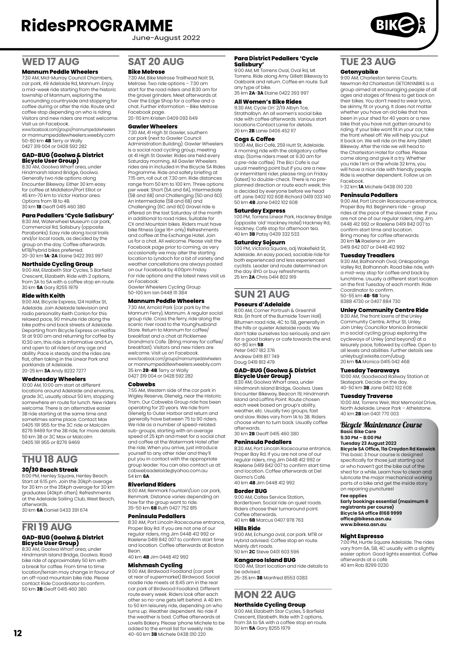June-August 2022

### **WED 17 AUG**

#### **Mannum Peddle Wheelers**

7:30 AM, Mid-Murray Council Chambers, car park, 49 Adelaide Rd, Mannum. Enjoy a mid-week ride starting from the historic township of Mannum, exploring the surrounding countryside and stopping for coffee during or after the ride. Route and coffee stop depending on who is riding.<br>Visitors and new riders are most welcome

Visitors and new riders are most welcome. Visit us on Facebook. www.facebook.com/groups/mannumpedalwheelers or mannumpeddlewheelers.weebly.com 50-80 km **4B** Terry or Wally 0427 319 004 or 0428 592 282

## **GAD-BUG (Goolwa & District Bicycle User Group)**

8:30 AM, Goolwa Wharf area, under Hindmarsh Island Bridge, Goolwa. Generally two ride options along Encounter Bikeway. Either 30 km easy for coffee at Middleton/Port Elliot or 45 km-70 km to Victor Harbor area. Options from 1B to 4B. 30 km **1B** Geoff 0415 460 380

#### **Para Pedallers 'Cycle Salisbury'**

8:30 AM, Waterwheel Museum car park, Commercial Rd, Salisbury (opposite Parabanks). Easy ride along local trails and/or local roads, as decided by the group on the day. Coffee afterwards. MTB/hybrid bikes preferred. 20-30 km **1A**-**2A** Elaine 0422 393 997

**Northside Cycling Group**<br>9:00 AM, Elizabeth Star Cycles, 5 Barfield<br>Crescent, Elizabeth. Ride with 2 options, from 3A to 5A with a coffee stop en route. 30 km **5A** Gary 8255 1979

#### **Ride with Keith**

9:00 AM, Bicycle Express, 124 Halifax St, Adelaide. Join Adelaide television and radio personality Keith Conlon for this relaxed pace, 90 minute ride along the bike paths and back streets of Adelaide. Departing from Bicycle Express on Halifax St at 9:00 am and returning for coffee by 10:30 am, this ride is informative and fun. and open to all riders of any age and ability. Pace is steady and the rides are flat, often taking in the Linear Park and parklands of Adelaide. 20-25 km **3A** Andy 8232 7277

### **Wednesday Wheelers**

10:00 AM, 10:00 am start at different locations around Adelaide and environs, grade 3C, usually about 50 km, stopping somewhere en route for lunch. New riders welcome. There is an alternative easier 3B ride starting at the same time and sometimes same place. Contact Max 0405 191 955 for the 3C ride or Malcolm 8276 9469 for the 3B ride, for more details. 50 km 3B or 3C Max or Malcolm 0405 191 955 or 8276 9469

#### **THU 18 AUG 30/30 Beach Streak**

6:00 PM, Henley Square, Henley Beach. Start at 6:15 pm. Join the 30kph average for 30 km or the 35kph average for 30 km graduates (40kph often). Refreshments at the Adelaide Sailing Club, West Beach, afterwards. 30 km **6A** Daniel 0433 391 674

### **FRI 19 AUG GAD-BUG (Goolwa & District Bicycle User Group)** 8:30 AM, Goolwa Wharf area, under

Hindmarsh Island Bridge, Goolwa. Road bike ride of approximately 50 km with a break for coffee. From time to time location/terrain may change in favour of an off-road mountain bike ride. Please contact Ride Coordinator to confirm. 50 km **3B** Geoff 0415 460 380

### **SAT 20 AUG**

#### **Bike Melrose**

7:30 AM, Bike Melrose Trailhead Nott St, Melrose. Two ride options – 7:30 am start for the road riders and 8:30 am for the gravel grinders. Meet afterwards at Over the Edge Shop for a coffee and a chat. Further information – Bike Melrose Facebook page. 20-110 km Kristen 0409 093 649

#### **Gawler Wheelers**

7:30 AM, 41 High St Gawler, southern car park (next to Gawler Council Administration Building). Gawler Wheelers is a social road cycling group, meeting at 41 High St Gawler. Rides are held every Saturday morning. All Gawler Wheelers rides are in included in the Bicycle SA Rides Programme. Ride and safety briefing at 7:15 am, roll out at 7.30 am. Ride distances range from 50 km to 100 km. Three options per week: Short (5A and 6A), Intermediate (5B and 6B) and Challenging (5D and 6D). An Intermediate (5B and 6B) and Challenging (6C and 6D) Gravel ride is offered on the last Saturday of the month in additional to road rides. Suitable for CX and Mountain bikes. Riders must have bike fitness (age 16+ only) Refreshments and coffee at the Exchange Hotel. Join us for a chat. All welcome. Please visit the Facebook page prior to coming, as very occasionally we may alter the starting location to Lyndoch for a bit of variety and weather cancellations are always posted on our Facebook by 4:00pm Friday. For ride options and the latest news visit us on Facebook: Gawler Wheelers Cycling Group

50-100 km Ian 0448 111 384

### **Mannum Peddle Wheelers**

7:30 AM, Arnold Park (car park by the Mannum Ferry), Mannum. A regular social group ride. Cross the ferry, ride along the scenic river road to the Younghusband Store. Return to Mannum for coffee/ breakfast and a chat at Picklemee Grandma's Cafe. (Bring money for coffee/ breakfast). Visitors and new riders are welcome. Visit us on Facebook. www.facebook.com/groups/mannumpedalwheelers or mannumpeddlewheelers.weebly.com 35 km **2B**-**4B** Terry or Wally 0427 319 004 or 0428 592 282

### **Cobwebs**

7:55 AM, Western side of the car park in Wigley Reserve, Glenelg, near the Historic Tram. Our Cobwebs Group ride has been operating for 20 years. We ride from Glenelg to Outer Harbor and return and generally have between 75 to 90 riders. We ride as a number of speed-related sub-groups, starting with an average speed of 25 kph and meet for a social chat and coffee at the Watermark Hotel after the ride. When you arrive, just introduce yourself to any other rider and they'll put you in contact with the appropriate group leader. You can also contact us at: cobwebsadelaide@yahoo.com.au 54 km **6A**

#### **Riverland Riders**

8:00 AM, Renmark Fountain/Lion car park, Renmark. Distance varies depending on how far the group want to ride. 35-50 km **6B** Ruth 0427 752 815

#### **Peninsula Pedallers**

8:30 AM, Port Lincoln Racecourse entrance, Proper Bay Rd. If you are not one of our regular riders, ring Jim 0448 412 992 or Raelene 0419 842 007 to confirm start time and location. Coffee afterwards at Boston Bean.

### 40 km **4B** Jim 0448 412 992

**Mishmash Cycling**

9:00 AM, Birdwood Foodland (car park at rear of supermarket) Birdwood. Social<br>roadie ride meets at 8:45 am in the rear roadie ride meets at 8:45 am in the rear car park of Birdwood Foodland. Different route every week. Riders look after each other so no-one gets left behind. A 40 km to 50 km leisurely ride, depending on who turns up. Weather dependent. No ride if the weather is bad. Coffee afterwards at Lovells Bakery. Please 'phone Michele to be added to the email list for weekly ride. 40-60 km **3B** Michele 0438 010 220

### **Para District Pedallers 'Cycle Salisbury'** 9:00 AM, Mt Torrens Oval, Oval Rd, Mt

Torrens. Ride along Amy Gillett Bikeway to Oakbank and return. Coffee en route. Suit any type of bike. 35 km **2A**-**3A** Elaine 0422 393 997

#### **All Women's Bike Rides**

9:30 AM, Cycle On' 2/19 Albyn Tce, Strathalbyn. An all women's social bike ride with coffee afterwards. Various start locations Contact Lanie for details. 20 km **2B** Lanie 0406 452 117

#### **Cogs & Coffee**

10:00 AM, Bici Café, 259 Hutt St, Adelaide. A morning ride with the obligatory coffee stop. (Some riders meet at 9.30 am for a pre-ride coffee). The Bici Cafe is our usual meeting point but if you are a new or intermittent rider, please ring on Friday (latest) to double-check. There is no preplanned direction or route each week; this is decided by everyone before we head off. Jane 0402 102 608 Richard 0419 033 140 50 km **4B** Jane 0402 102 608

#### **Saturday Express**

1:00 PM, Torrens Linear Park, Hackney Bridge (opposite 'old' Hackney Hotel) Hackney Rd, Hackney. Café stop for afternoon tea. 40 km **3B** Patsy 0439 332 533

#### **Saturday Sojourn**

1:00 PM, Victoria Square, adj Wakefield St, Adelaide. An easy paced, sociable ride for both experienced and less experienced cyclists. Leader and route determined on the day. BYO or buy refreshments. 25 km **2A** Chris 0414 802 919

### **SUN 21 AUG**

#### **Poseurs d'Adelaide**

8:00 AM, Corner Portrush & Greenhill Rds. (in front of the Burnside Town Hall). Bitumen road ride, 4C to 5B, generally in the hills or quieter Adelaide roads. We don't take ourselves too seriously and aim for a good bakery or cafe towards the end. 60-80 km **5B** Peter 0407 182 376 Andrew 0419 817 749

Doug 0419 813 479

## **GAD-BUG (Goolwa & District Bicycle User Group)**

8:30 AM, Goolwa Wharf area, under Hindmarsh Island Bridge, Goolwa. Uses Encounter Bikeway, Beacon 19, Hindmarsh Island and Laffins Point. Route chosen each week based on group's ability, weather, etc. Usually two groups, fast and slow. Rides vary from 1A to 3B. Riders choose when to turn back. Usually coffee afterwards. 30 km **2B** Geoff 0415 460 380

#### **Peninsula Pedallers**

8:30 AM, Port Lincoln Racecourse entrance, Proper Bay Rd. If you are not one of our regular riders, ring Jim 0448 412 992 or Raelene 0419 842 007 to confirm start time and location. Coffee afterwards at Del Giorno's Café. 40 km **4B** Jim 0448 412 992

### **Border BUG**

9:00 AM, Caltex Service Station, Bordertown. Social ride on quiet roads. Riders choose their turnaround point. Coffee afterwards. 40 km **6B** Marcus 0407 978 763

#### **Hills Ride**

9:00 AM, Echunga oval, car park. MTB or Hybrid advised. Coffee stop en route. Mainly dirt roads. 50 km **2C** Steve 0401 603 596

#### **Kangaroo Island BUG**

10:00 AM, Start location and ride details to be advised. 25-35 km **3B** Manfred 8553 0383

## **MON 22 AUG**

**Northside Cycling Group**

9:00 AM, Elizabeth Star Cycles, 5 Barfield Crescent, Elizabeth. Ride with 2 options, from 3A to 5A with a coffee stop en route. 30 km **5A** Gary 8255 1979

### **TUE 23 AUG Getonyabike**

9:00 AM, Charleston tennis Courts. Newman Rd Charleston GETONYABIKE is a group aimed at encouraging people of all ages and stages of fitness to get back on their bikes. You don't need to wear lycra, be skinny, fit or young. It does not matter whether you have an old bike that has been in your shed for 40 years or a new bike that you have not gotten around to riding. If your bike wont fit in your car, take the front wheel off. We will help you put it back on. We will ride on the Amy Gillett Bikeway. After the ride we will head to the Charleston Hotel for coffee. Please come along and give it a try. Whether you ride 1 km or the whole 32 kms, you will have a nice ride with friendly people. Ride is weather dependent. Follow us on Facebook.

1-32 km **1A** Michele 0438 010 220

#### **Peninsula Pedallers**

9:00 AM, Port Lincoln Racecourse entrance, Proper Bay Rd. Beginners ride – group rides at the pace of the slowest rider. If you are not one of our regular riders, ring Jim 0448 412 992 or Raelene 0419 842 007 to confirm start time and location. Bring money for coffee afterwards. 30 km **1A** Raelene or Jim 0419 842 007 or 0448 412 992

#### **Tuesday Treadlers**

9:30 AM, Balhannah Oval, Onkaparinga Valley Rd, Balhannah. Road bike ride, with a mid-way stop for coffee and back by lunchtime. Usually a different start location on the first Tuesday of each month. Ride Coordinator to confirm. 50-55 km **4B**-**5B** Tony 8388 4730 or 0407 884 730

### **Unley Community Centre Ride**

9:30 AM, The front lawns of the Unley Community Centre, Arthur St, Unley. Join Unley Councillor Monica Broniecki in a social cycling group exploring the cycleways of Unley (and beyond) at a leisurely pace, followed by coffee. Open to all levels and abilities. Further details see unleybug1.wixsite.com/ubug 20 km **5A** Monica 0415 042 468

#### **Tuesday Tearaways**

10:00 AM, Goodwood Railway Station at Skatepark. Decide on the day. 40-50 km **3B** Jane 0402 102 608

#### **Tuesday Traverse**

10:00 AM, Torrens Weir, War Memorial Drive, North Adelaide. Linear Park – Athelstone. 40 km **2B** Ian 0401 770 003

#### Bicycle Maintenance Course **Basic Bike Care 5:30 PM – 8:00 PM**

**Tuesday 23 August 2022 Bicycle SA Office, 11a Croydon Rd Keswick**

This basic 3 hour course is designed specifically for those just starting out or who haven't got the bike out of the shed for a while. Learn how to clean and lubricate the major mechanical working parts of a bike and get the inside story on repairing punctures!

### **Fee applies**

**Early bookings essential (maximum 6 registrants per course) Bicycle SA office 8168 9999 office@bikesa.asn.au [www.bikesa.asn.au](http://www.bikesa.asn.au)**

#### **Night Espresso**

7:00 PM, Hurtle Square Adelaide. The rides vary from 6A, 5B, 4C usually with a slightly easier option. Good lights essential. Coffee afterwards at a café. 40 km Rob 8299 0230

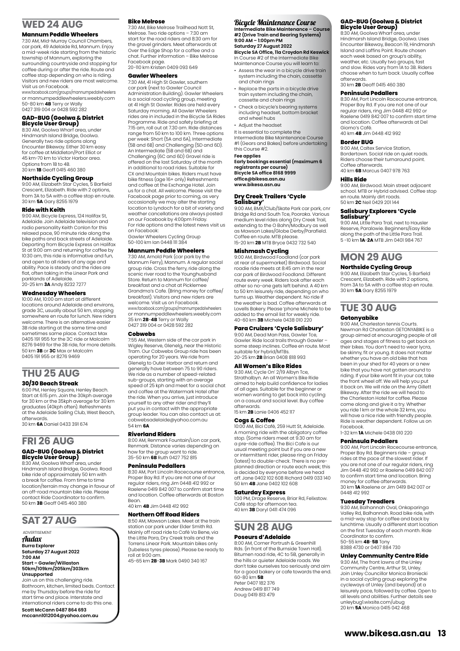### **WED 24 AUG**

#### **Mannum Peddle Wheelers**

7:30 AM, Mid-Murray Council Chambers, car park, 49 Adelaide Rd, Mannum. Enjoy a mid-week ride starting from the historic township of Mannum, exploring the surrounding countryside and stopping for coffee during or after the ride. Route and coffee stop depending on who is riding. Visitors and new riders are most welcome. Visit us on Facebook.

www.facebook.com/groups/mannumpedalwheelers or mannumpeddlewheelers.weebly.com 50-80 km **4B** Terry or Wally 0427 319 004 or 0428 592 282

## **GAD-BUG (Goolwa & District Bicycle User Group)**

8:30 AM, Goolwa Wharf area, under Hindmarsh Island Bridge, Goolwa. Generally two ride options along Encounter Bikeway. Either 30 km easy for coffee at Middleton/Port Elliot or 45 km-70 km to Victor Harbor area. Options from 1B to 4B. 30 km **1B** Geoff 0415 460 380

#### **Northside Cycling Group**

9:00 AM, Elizabeth Star Cycles, 5 Barfield Crescent, Elizabeth. Ride with 2 options, from 3A to 5A with a coffee stop en route. 30 km **5A** Gary 8255 1979

#### **Ride with Keith**

9:00 AM, Bicycle Express, 124 Halifax St, Adelaide. Join Adelaide television and radio personality Keith Conlon for this relaxed pace, 90 minute ride along the bike paths and back streets of Adelaide. Departing from Bicycle Express on Halifax St at 9:00 am and returning for coffee by 10:30 am, this ride is informative and fun, and open to all riders of any age and ability. Pace is steady and the rides are flat, often taking in the Linear Park and parklands of Adelaide. 20-25 km **3A** Andy 8232 7277

#### **Wednesday Wheelers**

10:00 AM, 10:00 am start at different locations around Adelaide and environs, grade 3C, usually about 50 km, stopping somewhere en route for lunch. New riders welcome. There is an alternative easier 3B ride starting at the same time and sometimes same place. Contact Max 0405 191 955 for the 3C ride or Malcolm 8276 9469 for the 3B ride, for more details. 50 km **3B** or **3C** Max or Malcolm 0405 191 955 or 8276 9469

## **THU 25 AUG**

#### **30/30 Beach Streak**

6:00 PM, Henley Square, Henley Beach. Start at 6:15 pm. Join the 30kph average for 30 km or the 35kph average for 30 km graduates (40kph often). Refreshments at the Adelaide Sailing Club, West Beach, afterwards.

30 km **6A** Daniel 0433 391 674

#### **FRI 26 AUG GAD-BUG (Goolwa & District Bicycle User Group)**

8:30 AM, Goolwa Wharf area, under Hindmarsh Island Bridge, Goolwa. Road bike ride of approximately 50 km with a break for coffee. From time to time location/terrain may change in favour of an off-road mountain bike ride. Please contact Ride Coordinator to confirm. 50 km **3B** Geoff 0415 460 380

### **SAT 27 AUG**

#### ADVERTISEMENT Audax **Burra Explorer Saturday 27 August 2022 7:00 AM Start – Gawler/Willaston 50km/109km/205km/303km Unsupported**

Join us on this challenging ride. Bathroom, kitchen, limited beds. Contact me by Thursday before the ride for start time and place. Interstate and international riders come to do this one.

```
Scott McCann 0487 864 693
mccann1012004@yahoo.com.au
```
#### **Bike Melrose**

7:30 AM, Bike Melrose Trailhead Nott St, Melrose. Two ride options – 7:30 am start for the road riders and 8:30 am for the gravel grinders. Meet afterwards at Over the Edge Shop for a coffee and a chat. Further information – Bike Melrose Facebook page. 20-110 km Kristen 0409 093 649

#### **Gawler Wheelers**

7:30 AM, 41 High St Gawler, southern

car park (next to Gawler Council Administration Building). Gawler Wheelers is a social road cycling group, meeting at 41 High St Gawler. Rides are held every Saturday morning. All Gawler Wheelers rides are in included in the Bicycle SA Rides Programme. Ride and safety briefing at 7:15 am, roll out at 7.30 am. Ride distances range from 50 km to 100 km. Three options per week: Short (5A and 6A), Intermediate (5B and 6B) and Challenging (5D and 6D). An Intermediate (5B and 6B) and Challenging (6C and 6D) Gravel ride is offered on the last Saturday of the month in additional to road rides. Suitable for CX and Mountain bikes. Riders must have bike fitness (age 16+ only) Refreshments and coffee at the Exchange Hotel. Join us for a chat. All welcome. Please visit the Facebook page prior to coming, as very occasionally we may alter the starting location to Lyndoch for a bit of variety and weather cancellations are always posted on our Facebook by 4:00pm Friday. For ride options and the latest news visit us on Facebook: Gawler Wheelers Cycling Group

50-100 km Ian 0448 111 384

#### **Mannum Peddle Wheelers**

7:30 AM, Arnold Park (car park by the Mannum Ferry), Mannum. A regular social group ride. Cross the ferry, ride along the scenic river road to the Younghusband Store. Return to Mannum for coffee/ breakfast and a chat at Picklemee Grandma's Cafe. (Bring money for coffee/ breakfast). Visitors and new riders are welcome. Visit us on Facebook. www.facebook.com/groups/mannumpedalwheelers or mannumpeddlewheelers.weebly.com 35 km **2B**-**4B** Terry or Wally 0427 319 004 or 0428 592 282

#### **Cobwebs**

7:55 AM, Western side of the car park in Wigley Reserve, Glenelg, near the Historic Tram. Our Cobwebs Group ride has been operating for 20 years. We ride from Glenelg to Outer Harbor and return and generally have between 75 to 90 riders. We ride as a number of speed-related sub-groups, starting with an average speed of 25 kph and meet for a social chat and coffee at the Watermark Hotel after the ride. When you arrive, just introduce yourself to any other rider and they'll put you in contact with the appropriate group leader. You can also contact us at: cobwebsadelaide@yahoo.com.au 54 km **6A**

#### **Riverland Riders**

8:00 AM, Renmark Fountain/Lion car park, Renmark. Distance varies depending on how far the group want to ride. 35-50 km **6B** Ruth 0427 752 815

#### **Peninsula Pedallers**

8:30 AM, Port Lincoln Racecourse entrance, Proper Bay Rd. If you are not one of our regular riders, ring Jim 0448 412 992 or Raelene 0419 842 007 to confirm start time and location. Coffee afterwards at Boston Bean. 40 km **4B** Jim 0448 412 992

#### **Northern Off Road Riders**

8:50 AM, Mawson Lakes. Meet at the train station car park under Elder Smith Rd. Mainly off road ride to Café Va Bene, via the Little Para, Dry Creek trails and the Torrens Linear Park. Mountain bikes only (tubeless tyres please). Please be ready to roll at 9:00 am. 45-65 km **2B**-**3B** Mark 0490 340 167

#### Bicycle Maintenance Course

**Intermediate Bike Maintenance – Course #2 (Drive Train and Bearing Systems) 9:00 AM – 1:00pm PM Saturday 27 August 2022**

**Bicycle SA Office, 11a Croydon Rd Keswick** In Course #2 of the Intermediate Bike

- Maintenance Course you will learn to: • Assess the wear in a bicycle drive train system including the chain, cassette and chain rings
- Replace the parts in a bicycle drive train system including the chain, cassette and chain rings
- Check a bicycle's bearing systems including headset, bottom bracket and wheel hubs
- Adjust the headset

It is essential to complete the Intermediate Bike Maintenance Course #1 (Gears and Bakes) before undertaking this Course #2.

#### **Fee applies**

**Early bookings essential (maximum 6 registrants per course) Bicycle SA office 8168 9999 office@bikesa.asn.au www.bikesa.asn.au**

# **Dry Creek Trailers 'Cycle Salisbury'** 9:00 AM, BMX/Club/Skate Park car park, cnr

Bridge Rd and South Tce, Pooraka. Various medium level rides along Dry Creek Trail, extending to the O Bahn/Modbury as well as Mawson Lakes/Globe Derby/Parafield. Coffee en route. MTB please. 15-20 km **2B** MTB Bryce 0432 732 540

#### **Mishmash Cycling**

9:00 AM, Birdwood Foodland (car park at rear of supermarket) Birdwood. Social roadie ride meets at 8:45 am in the rear car park of Birdwood Foodland. Different route every week. Riders look after each other so no-one gets left behind. A 40 km to 50 km leisurely ride, depending on who turns up. Weather dependent. No ride if the weather is bad. Coffee afterwards at Lovells Bakery. Please 'phone Michele to be added to the email list for weekly ride. 40-60 km **3B** Michele 0438 010 220

#### **Para Cruizers 'Cycle Salisbury'**

9:00 AM, Dead Man Pass, Gawler Tce, Gawler. Ride local trails through Gawler – some steep inclines. Coffee en route. Most suitable for hybrid/MTBs. 20-25 km **2B** Brian 0408 818 993

#### **All Women's Bike Rides**

9:30 AM, Cycle On' 2/19 Albyn Tce, Strathalbyn. An all Women's Bike Ride aimed to help build confidence for ladies of all ages. Suitable for the beginner or women wanting to get back into cycling on a casual and social level. Buy coffee afterwards. 15 km **2B** Lanie 0406 452 117

**Cogs & Coffee**

10:00 AM, Bici Café, 259 Hutt St, Adelaide. A morning ride with the obligatory coffee stop. (Some riders meet at 9.30 am for a pre-ride coffee). The Bici Cafe is our usual meeting point but if you are a new or intermittent rider, please ring on Friday (latest) to double-check. There is no preplanned direction or route each week; this is decided by everyone before we head off. Jane 0402 102 608 Richard 0419 033 140 50 km **4B** Jane 0402 102 608

#### **Saturday Express**

1:00 PM, Drage Reserve, Briar Rd, Felixstow. Café stop for afternoon tea. 40 km **3B** Daryl 0411 474 096

#### **SUN 28 AUG Poseurs d'Adelaide**

8:00 AM, Corner Portrush & Greenhill Rds. (in front of the Burnside Town Hall). Bitumen road ride, 4C to 5B, generally in the hills or quieter Adelaide roads. We don't take ourselves too seriously and aim for a good bakery or cafe towards the end. 60-80 km **5B** Peter 0407 182 376 Andrew 0419 817 749 Doug 0419 813 479

## **GAD-BUG (Goolwa & District Bicycle User Group)**

8:30 AM, Goolwa Wharf area, under Hindmarsh Island Bridge, Goolwa. Uses Encounter Bikeway, Beacon 19, Hindmarsh Island and Laffins Point. Route chosen each week based on group's ability, weather, etc. Usually two groups, fast and slow. Rides vary from 1A to 3B. Riders choose when to turn back. Usually coffee afterwards.

30 km **2B** Geoff 0415 460 380

#### **Peninsula Pedallers**

8:30 AM, Port Lincoln Racecourse entrance, Proper Bay Rd. If you are not one of our regular riders, ring Jim 0448 412 992 or Raelene 0419 842 007 to confirm start time and location. Coffee afterwards at Del Giorno's Café. 40 km **4B** Jim 0448 412 992

#### **Border BUG**

9:00 AM, Caltex Service Station, Bordertown. Social ride on quiet roads. Riders choose their turnaround point. Coffee afterwards. 40 km **6B** Marcus 0407 978 763

#### **Hills Ride**

9:00 AM, Birdwood. Main street adjacent school. MTB or Hybrid advised. Coffee stop en route. Mainly dirt roads. 50 km **2C** Neil 0429 201 144

## **Salisbury Explorers 'Cycle**

**Salisbury'** 9:00 AM, Little Para Trail, next to Hausler Reserve, Paralowie. Beginners/Easy Ride along the path of the Little Para Trail. 5 -10 km **1A**-**2A** MTB Jim 0401 984 767

### **MON 29 AUG Northside Cycling Group**

9:00 AM, Elizabeth Star Cycles, 5 Barfield Crescent, Elizabeth. Ride with 2 options, from 3A to 5A with a coffee stop en route. 30 km **5A** Gary 8255 1979

### **TUE 30 AUG**

#### **Getonyabike**

9:00 AM, Charleston tennis Courts. Newman Rd Charleston GETONYABIKE is a group aimed at encouraging people of all ages and stages of fitness to get back on their bikes. You don't need to wear lycra, be skinny, fit or young. It does not matter whether you have an old bike that has been in your shed for 40 years or a new bike that you have not gotten around to riding. If your bike wont fit in your car, take the front wheel off. We will help you put it back on. We will ride on the Amy Gillett Bikeway. After the ride we will head to the Charleston Hotel for coffee. Please come along and give it a try. Whether you ride 1 km or the whole 32 kms, you will have a nice ride with friendly people. Ride is weather dependent. Follow us on Facebook. 1-32 km **1A** Michele 0438 010 220

#### **Peninsula Pedallers**

9:00 AM, Port Lincoln Racecourse entrance, Proper Bay Rd. Beginners ride – group rides at the pace of the slowest rider. If you are not one of our regular riders, ring Jim 0448 412 992 or Raelene 0419 842 007 to confirm start time and location. Bring money for coffee afterwards. 30 km **1A** Raelene or Jim 0419 842 007 or 0448 412 992

#### **Tuesday Treadlers**

9:30 AM, Balhannah Oval, Onkaparinga Valley Rd, Balhannah. Road bike ride, with a mid-way stop for coffee and back by lunchtime. Usually a different start location on the first Tuesday of each month. Ride Coordinator to confirm. 50-55 km **4B**-**5B** Tony 8388 4730 or 0407 884 730

#### **Unley Community Centre Ride**

9:30 AM, The front lawns of the Unley Community Centre, Arthur St, Unley. Join Unley Councillor Monica Broniecki in a social cycling group exploring the cycleways of Unley (and beyond) at a leisurely pace, followed by coffee. Open to all levels and abilities. Further details see unleybug1.wixsite.com/ubug 20 km **5A** Monica 0415 042 468